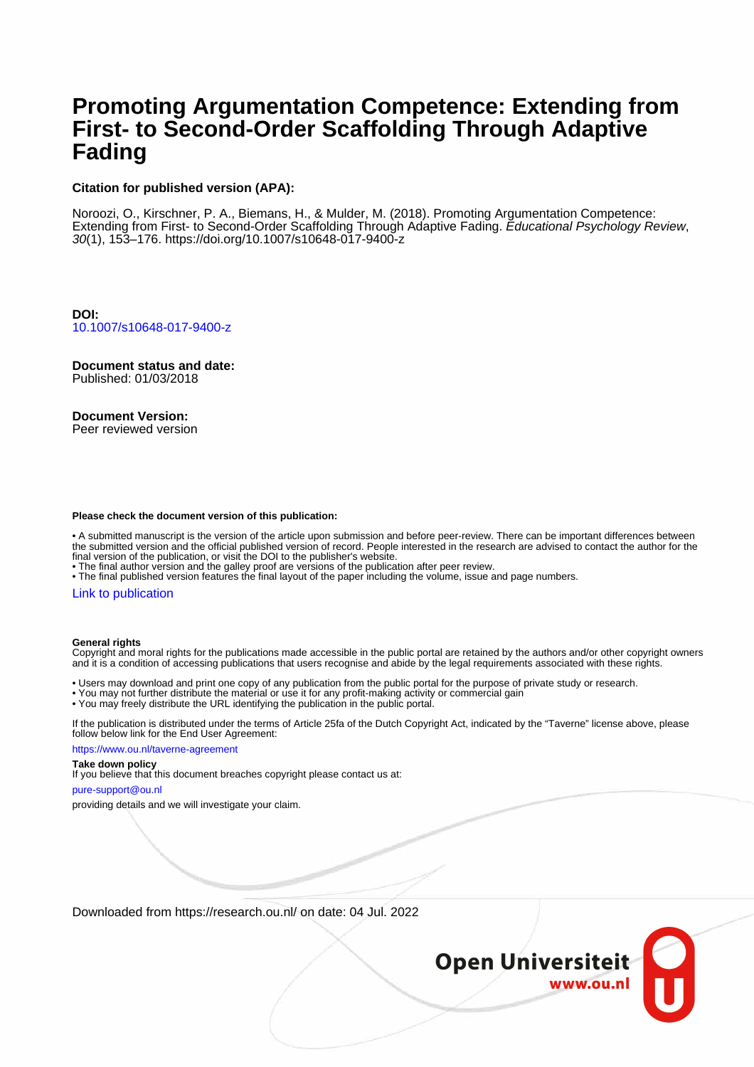# **Promoting Argumentation Competence: Extending from First- to Second-Order Scaffolding Through Adaptive Fading**

## **Citation for published version (APA):**

Noroozi, O., Kirschner, P. A., Biemans, H., & Mulder, M. (2018). Promoting Argumentation Competence: Extending from First- to Second-Order Scaffolding Through Adaptive Fading. Educational Psychology Review, 30(1), 153–176.<https://doi.org/10.1007/s10648-017-9400-z>

**DOI:** [10.1007/s10648-017-9400-z](https://doi.org/10.1007/s10648-017-9400-z)

**Document status and date:** Published: 01/03/2018

**Document Version:**

Peer reviewed version

#### **Please check the document version of this publication:**

• A submitted manuscript is the version of the article upon submission and before peer-review. There can be important differences between the submitted version and the official published version of record. People interested in the research are advised to contact the author for the final version of the publication, or visit the DOI to the publisher's website.

• The final author version and the galley proof are versions of the publication after peer review.

• The final published version features the final layout of the paper including the volume, issue and page numbers.

#### [Link to publication](https://research.ou.nl/en/publications/469bf528-3815-41ea-9282-1c3d89d88864)

#### **General rights**

Copyright and moral rights for the publications made accessible in the public portal are retained by the authors and/or other copyright owners and it is a condition of accessing publications that users recognise and abide by the legal requirements associated with these rights.

• Users may download and print one copy of any publication from the public portal for the purpose of private study or research.

- You may not further distribute the material or use it for any profit-making activity or commercial gain
- You may freely distribute the URL identifying the publication in the public portal.

If the publication is distributed under the terms of Article 25fa of the Dutch Copyright Act, indicated by the "Taverne" license above, please follow below link for the End User Agreement:

https://www.ou.nl/taverne-agreement

#### **Take down policy**

If you believe that this document breaches copyright please contact us at:

pure-support@ou.nl

providing details and we will investigate your claim.

Downloaded from https://research.ou.nl/ on date: 04 Jul. 2022

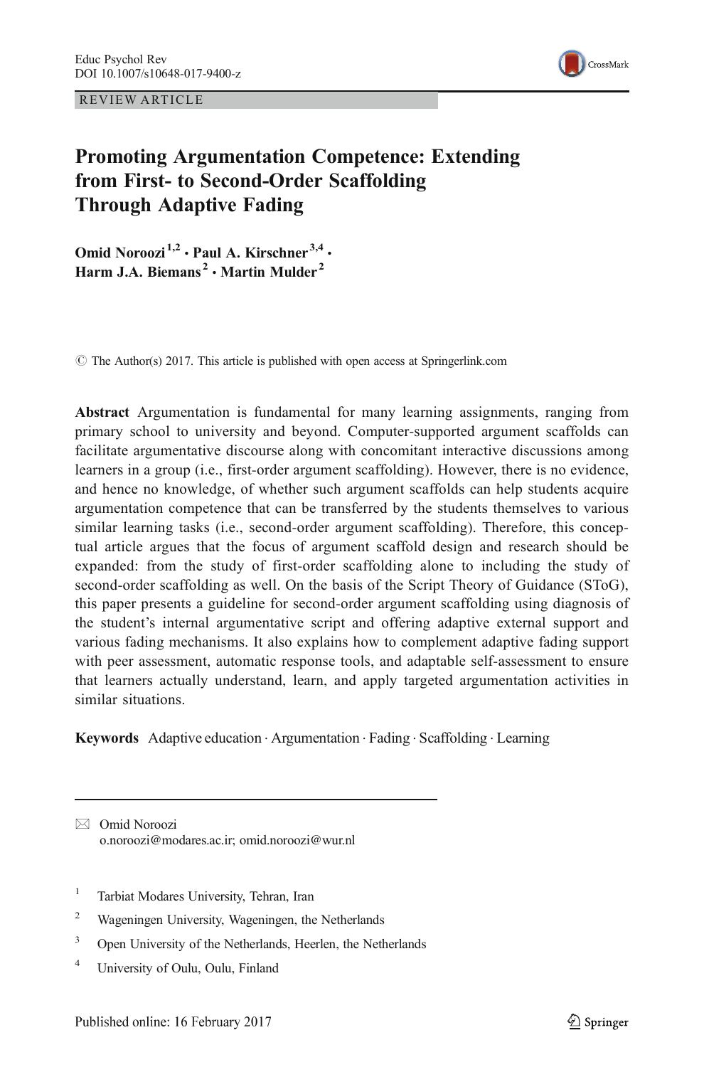REVIEW ARTICLE



# Promoting Argumentation Competence: Extending from First- to Second-Order Scaffolding Through Adaptive Fading

Omid Noroozi<sup>1,2</sup> · Paul A. Kirschner<sup>3,4</sup> · Harm J.A. Biemans<sup>2</sup> • Martin Mulder<sup>2</sup>

 $\odot$  The Author(s) 2017. This article is published with open access at Springerlink.com

Abstract Argumentation is fundamental for many learning assignments, ranging from primary school to university and beyond. Computer-supported argument scaffolds can facilitate argumentative discourse along with concomitant interactive discussions among learners in a group (i.e., first-order argument scaffolding). However, there is no evidence, and hence no knowledge, of whether such argument scaffolds can help students acquire argumentation competence that can be transferred by the students themselves to various similar learning tasks (i.e., second-order argument scaffolding). Therefore, this conceptual article argues that the focus of argument scaffold design and research should be expanded: from the study of first-order scaffolding alone to including the study of second-order scaffolding as well. On the basis of the Script Theory of Guidance (SToG), this paper presents a guideline for second-order argument scaffolding using diagnosis of the student's internal argumentative script and offering adaptive external support and various fading mechanisms. It also explains how to complement adaptive fading support with peer assessment, automatic response tools, and adaptable self-assessment to ensure that learners actually understand, learn, and apply targeted argumentation activities in similar situations.

Keywords Adaptive education . Argumentation . Fading . Scaffolding . Learning

- <sup>1</sup> Tarbiat Modares University, Tehran, Iran
- <sup>2</sup> Wageningen University, Wageningen, the Netherlands
- <sup>3</sup> Open University of the Netherlands, Heerlen, the Netherlands
- <sup>4</sup> University of Oulu, Oulu, Finland

 $\boxtimes$  Omid Noroozi o.noroozi@modares.ac.ir; omid.noroozi@wur.nl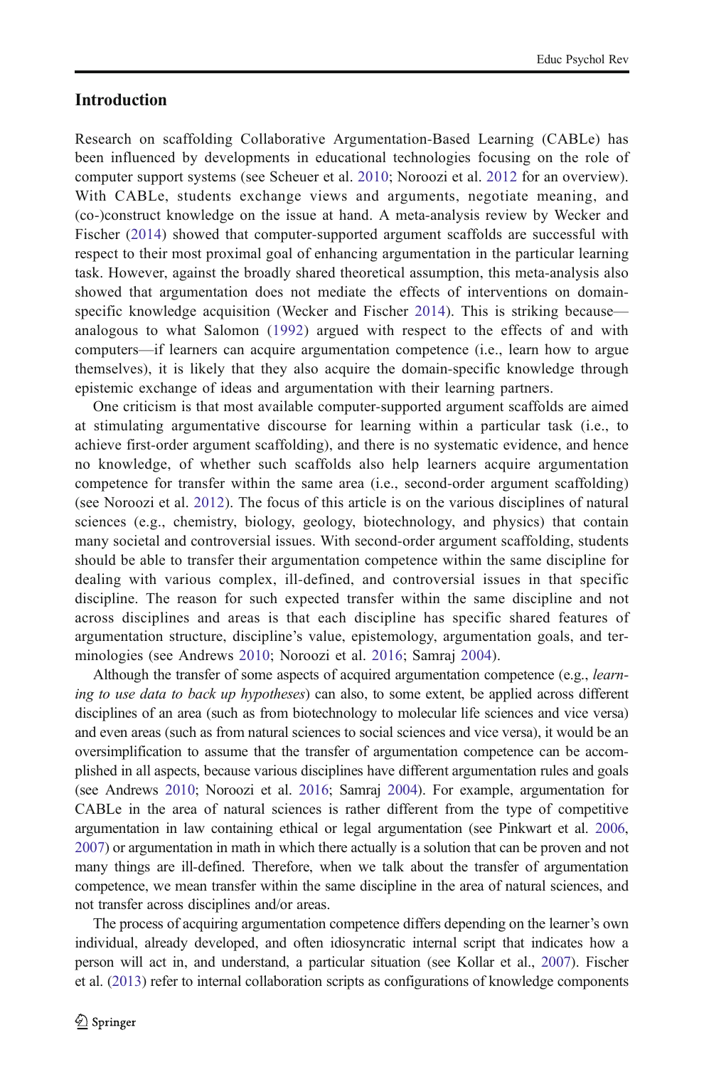# **Introduction**

Research on scaffolding Collaborative Argumentation-Based Learning (CABLe) has been influenced by developments in educational technologies focusing on the role of computer support systems (see Scheuer et al. [2010;](#page-23-0) Noroozi et al. [2012](#page-22-0) for an overview). With CABLe, students exchange views and arguments, negotiate meaning, and (co-)construct knowledge on the issue at hand. A meta-analysis review by Wecker and Fischer ([2014](#page-24-0)) showed that computer-supported argument scaffolds are successful with respect to their most proximal goal of enhancing argumentation in the particular learning task. However, against the broadly shared theoretical assumption, this meta-analysis also showed that argumentation does not mediate the effects of interventions on domainspecific knowledge acquisition (Wecker and Fischer [2014](#page-24-0)). This is striking because analogous to what Salomon ([1992\)](#page-23-0) argued with respect to the effects of and with computers—if learners can acquire argumentation competence (i.e., learn how to argue themselves), it is likely that they also acquire the domain-specific knowledge through epistemic exchange of ideas and argumentation with their learning partners.

One criticism is that most available computer-supported argument scaffolds are aimed at stimulating argumentative discourse for learning within a particular task (i.e., to achieve first-order argument scaffolding), and there is no systematic evidence, and hence no knowledge, of whether such scaffolds also help learners acquire argumentation competence for transfer within the same area (i.e., second-order argument scaffolding) (see Noroozi et al. [2012](#page-22-0)). The focus of this article is on the various disciplines of natural sciences (e.g., chemistry, biology, geology, biotechnology, and physics) that contain many societal and controversial issues. With second-order argument scaffolding, students should be able to transfer their argumentation competence within the same discipline for dealing with various complex, ill-defined, and controversial issues in that specific discipline. The reason for such expected transfer within the same discipline and not across disciplines and areas is that each discipline has specific shared features of argumentation structure, discipline's value, epistemology, argumentation goals, and terminologies (see Andrews [2010;](#page-20-0) Noroozi et al. [2016;](#page-22-0) Samraj [2004](#page-23-0)).

Although the transfer of some aspects of acquired argumentation competence (e.g., *learn*ing to use data to back up hypotheses) can also, to some extent, be applied across different disciplines of an area (such as from biotechnology to molecular life sciences and vice versa) and even areas (such as from natural sciences to social sciences and vice versa), it would be an oversimplification to assume that the transfer of argumentation competence can be accomplished in all aspects, because various disciplines have different argumentation rules and goals (see Andrews [2010;](#page-20-0) Noroozi et al. [2016](#page-22-0); Samraj [2004\)](#page-23-0). For example, argumentation for CABLe in the area of natural sciences is rather different from the type of competitive argumentation in law containing ethical or legal argumentation (see Pinkwart et al. [2006](#page-22-0), [2007](#page-23-0)) or argumentation in math in which there actually is a solution that can be proven and not many things are ill-defined. Therefore, when we talk about the transfer of argumentation competence, we mean transfer within the same discipline in the area of natural sciences, and not transfer across disciplines and/or areas.

The process of acquiring argumentation competence differs depending on the learner's own individual, already developed, and often idiosyncratic internal script that indicates how a person will act in, and understand, a particular situation (see Kollar et al., [2007](#page-22-0)). Fischer et al. [\(2013](#page-21-0)) refer to internal collaboration scripts as configurations of knowledge components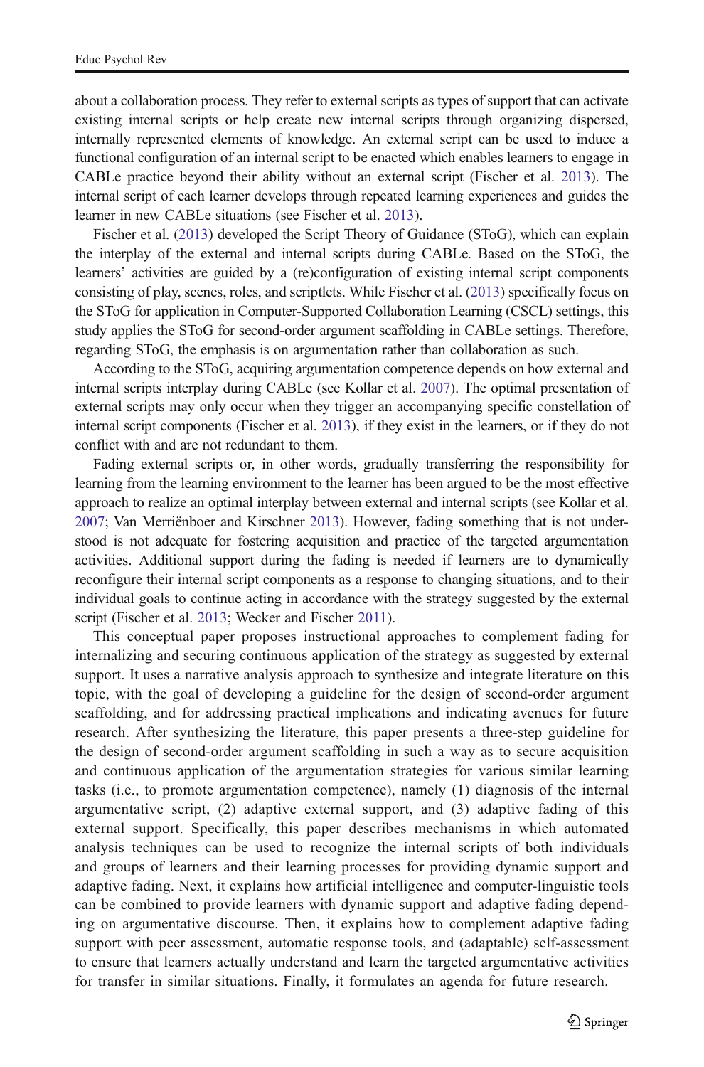about a collaboration process. They refer to external scripts as types of support that can activate existing internal scripts or help create new internal scripts through organizing dispersed, internally represented elements of knowledge. An external script can be used to induce a functional configuration of an internal script to be enacted which enables learners to engage in CABLe practice beyond their ability without an external script (Fischer et al. [2013\)](#page-21-0). The internal script of each learner develops through repeated learning experiences and guides the learner in new CABLe situations (see Fischer et al. [2013\)](#page-21-0).

Fischer et al. ([2013](#page-21-0)) developed the Script Theory of Guidance (SToG), which can explain the interplay of the external and internal scripts during CABLe. Based on the SToG, the learners' activities are guided by a (re)configuration of existing internal script components consisting of play, scenes, roles, and scriptlets. While Fischer et al. ([2013](#page-21-0)) specifically focus on the SToG for application in Computer-Supported Collaboration Learning (CSCL) settings, this study applies the SToG for second-order argument scaffolding in CABLe settings. Therefore, regarding SToG, the emphasis is on argumentation rather than collaboration as such.

According to the SToG, acquiring argumentation competence depends on how external and internal scripts interplay during CABLe (see Kollar et al. [2007](#page-22-0)). The optimal presentation of external scripts may only occur when they trigger an accompanying specific constellation of internal script components (Fischer et al. [2013](#page-21-0)), if they exist in the learners, or if they do not conflict with and are not redundant to them.

Fading external scripts or, in other words, gradually transferring the responsibility for learning from the learning environment to the learner has been argued to be the most effective approach to realize an optimal interplay between external and internal scripts (see Kollar et al. [2007](#page-22-0); Van Merriënboer and Kirschner [2013\)](#page-24-0). However, fading something that is not understood is not adequate for fostering acquisition and practice of the targeted argumentation activities. Additional support during the fading is needed if learners are to dynamically reconfigure their internal script components as a response to changing situations, and to their individual goals to continue acting in accordance with the strategy suggested by the external script (Fischer et al. [2013;](#page-21-0) Wecker and Fischer [2011\)](#page-24-0).

This conceptual paper proposes instructional approaches to complement fading for internalizing and securing continuous application of the strategy as suggested by external support. It uses a narrative analysis approach to synthesize and integrate literature on this topic, with the goal of developing a guideline for the design of second-order argument scaffolding, and for addressing practical implications and indicating avenues for future research. After synthesizing the literature, this paper presents a three-step guideline for the design of second-order argument scaffolding in such a way as to secure acquisition and continuous application of the argumentation strategies for various similar learning tasks (i.e., to promote argumentation competence), namely (1) diagnosis of the internal argumentative script, (2) adaptive external support, and (3) adaptive fading of this external support. Specifically, this paper describes mechanisms in which automated analysis techniques can be used to recognize the internal scripts of both individuals and groups of learners and their learning processes for providing dynamic support and adaptive fading. Next, it explains how artificial intelligence and computer-linguistic tools can be combined to provide learners with dynamic support and adaptive fading depending on argumentative discourse. Then, it explains how to complement adaptive fading support with peer assessment, automatic response tools, and (adaptable) self-assessment to ensure that learners actually understand and learn the targeted argumentative activities for transfer in similar situations. Finally, it formulates an agenda for future research.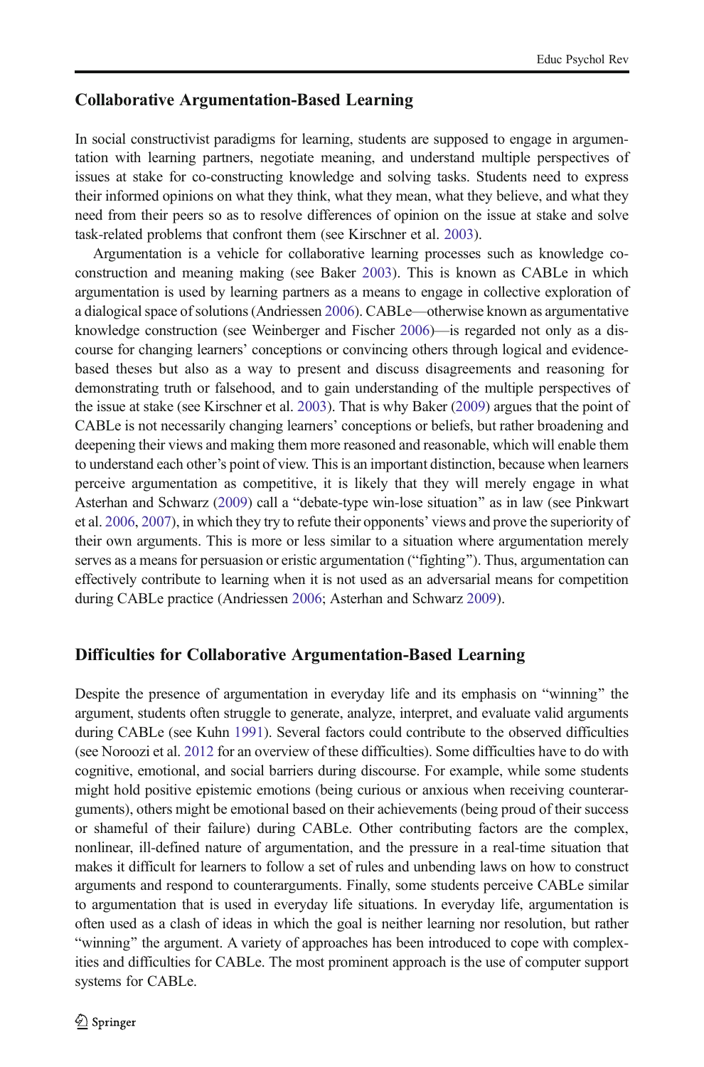## Collaborative Argumentation-Based Learning

In social constructivist paradigms for learning, students are supposed to engage in argumentation with learning partners, negotiate meaning, and understand multiple perspectives of issues at stake for co-constructing knowledge and solving tasks. Students need to express their informed opinions on what they think, what they mean, what they believe, and what they need from their peers so as to resolve differences of opinion on the issue at stake and solve task-related problems that confront them (see Kirschner et al. [2003\)](#page-22-0).

Argumentation is a vehicle for collaborative learning processes such as knowledge coconstruction and meaning making (see Baker [2003\)](#page-20-0). This is known as CABLe in which argumentation is used by learning partners as a means to engage in collective exploration of a dialogical space of solutions (Andriessen [2006](#page-20-0)). CABLe—otherwise known as argumentative knowledge construction (see Weinberger and Fischer [2006](#page-24-0))—is regarded not only as a discourse for changing learners' conceptions or convincing others through logical and evidencebased theses but also as a way to present and discuss disagreements and reasoning for demonstrating truth or falsehood, and to gain understanding of the multiple perspectives of the issue at stake (see Kirschner et al. [2003](#page-22-0)). That is why Baker ([2009](#page-21-0)) argues that the point of CABLe is not necessarily changing learners' conceptions or beliefs, but rather broadening and deepening their views and making them more reasoned and reasonable, which will enable them to understand each other's point of view. This is an important distinction, because when learners perceive argumentation as competitive, it is likely that they will merely engage in what Asterhan and Schwarz [\(2009\)](#page-20-0) call a "debate-type win-lose situation" as in law (see Pinkwart et al. [2006](#page-22-0), [2007\)](#page-23-0), in which they try to refute their opponents' views and prove the superiority of their own arguments. This is more or less similar to a situation where argumentation merely serves as a means for persuasion or eristic argumentation ("fighting"). Thus, argumentation can effectively contribute to learning when it is not used as an adversarial means for competition during CABLe practice (Andriessen [2006](#page-20-0); Asterhan and Schwarz [2009](#page-20-0)).

#### Difficulties for Collaborative Argumentation-Based Learning

Despite the presence of argumentation in everyday life and its emphasis on "winning" the argument, students often struggle to generate, analyze, interpret, and evaluate valid arguments during CABLe (see Kuhn [1991\)](#page-22-0). Several factors could contribute to the observed difficulties (see Noroozi et al. [2012](#page-22-0) for an overview of these difficulties). Some difficulties have to do with cognitive, emotional, and social barriers during discourse. For example, while some students might hold positive epistemic emotions (being curious or anxious when receiving counterarguments), others might be emotional based on their achievements (being proud of their success or shameful of their failure) during CABLe. Other contributing factors are the complex, nonlinear, ill-defined nature of argumentation, and the pressure in a real-time situation that makes it difficult for learners to follow a set of rules and unbending laws on how to construct arguments and respond to counterarguments. Finally, some students perceive CABLe similar to argumentation that is used in everyday life situations. In everyday life, argumentation is often used as a clash of ideas in which the goal is neither learning nor resolution, but rather "winning" the argument. A variety of approaches has been introduced to cope with complexities and difficulties for CABLe. The most prominent approach is the use of computer support systems for CABLe.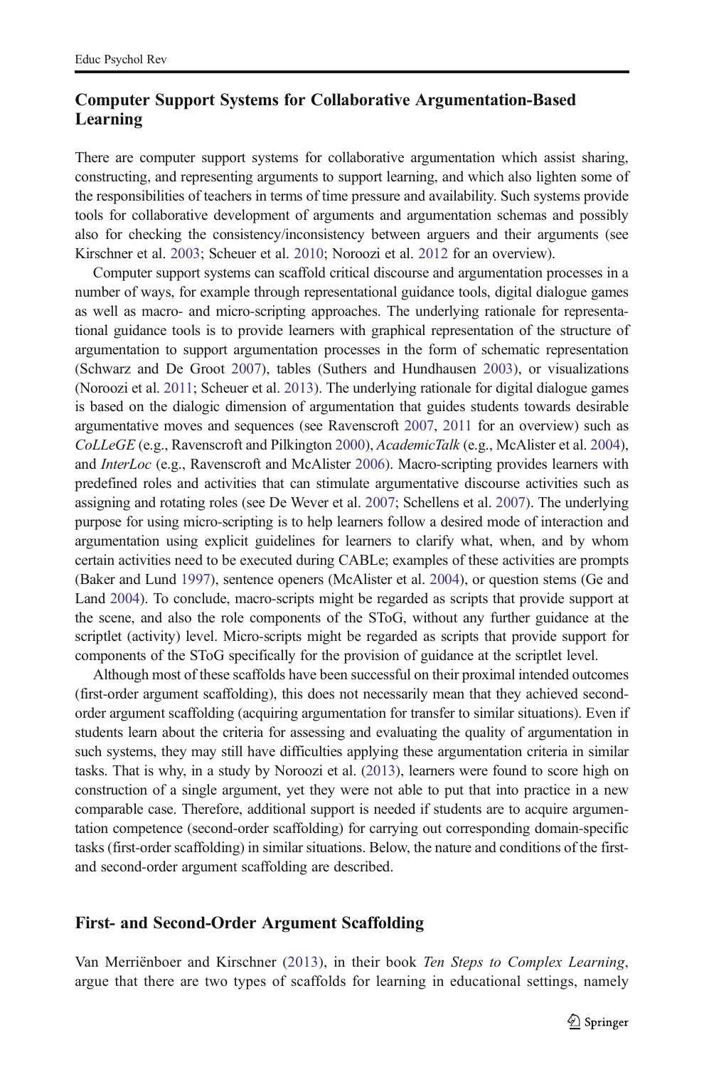# Computer Support Systems for Collaborative Argumentation-Based Learning

There are computer support systems for collaborative argumentation which assist sharing, constructing, and representing arguments to support learning, and which also lighten some of the responsibilities of teachers in terms of time pressure and availability. Such systems provide tools for collaborative development of arguments and argumentation schemas and possibly also for checking the consistency/inconsistency between arguers and their arguments (see Kirschner et al. [2003](#page-22-0); Scheuer et al. [2010](#page-23-0); Noroozi et al. [2012](#page-22-0) for an overview).

Computer support systems can scaffold critical discourse and argumentation processes in a number of ways, for example through representational guidance tools, digital dialogue games as well as macro- and micro-scripting approaches. The underlying rationale for representational guidance tools is to provide learners with graphical representation of the structure of argumentation to support argumentation processes in the form of schematic representation (Schwarz and De Groot [2007](#page-23-0)), tables (Suthers and Hundhausen [2003](#page-23-0)), or visualizations (Noroozi et al. [2011;](#page-22-0) Scheuer et al. [2013\)](#page-23-0). The underlying rationale for digital dialogue games is based on the dialogic dimension of argumentation that guides students towards desirable argumentative moves and sequences (see Ravenscroft [2007,](#page-23-0) [2011](#page-23-0) for an overview) such as CoLLeGE (e.g., Ravenscroft and Pilkington [2000\)](#page-23-0), AcademicTalk (e.g., McAlister et al. [2004](#page-22-0)), and InterLoc (e.g., Ravenscroft and McAlister [2006](#page-23-0)). Macro-scripting provides learners with predefined roles and activities that can stimulate argumentative discourse activities such as assigning and rotating roles (see De Wever et al. [2007;](#page-21-0) Schellens et al. [2007](#page-23-0)). The underlying purpose for using micro-scripting is to help learners follow a desired mode of interaction and argumentation using explicit guidelines for learners to clarify what, when, and by whom certain activities need to be executed during CABLe; examples of these activities are prompts (Baker and Lund [1997](#page-21-0)), sentence openers (McAlister et al. [2004\)](#page-22-0), or question stems (Ge and Land [2004](#page-21-0)). To conclude, macro-scripts might be regarded as scripts that provide support at the scene, and also the role components of the SToG, without any further guidance at the scriptlet (activity) level. Micro-scripts might be regarded as scripts that provide support for components of the SToG specifically for the provision of guidance at the scriptlet level.

Although most of these scaffolds have been successful on their proximal intended outcomes (first-order argument scaffolding), this does not necessarily mean that they achieved secondorder argument scaffolding (acquiring argumentation for transfer to similar situations). Even if students learn about the criteria for assessing and evaluating the quality of argumentation in such systems, they may still have difficulties applying these argumentation criteria in similar tasks. That is why, in a study by Noroozi et al. [\(2013\)](#page-22-0), learners were found to score high on construction of a single argument, yet they were not able to put that into practice in a new comparable case. Therefore, additional support is needed if students are to acquire argumentation competence (second-order scaffolding) for carrying out corresponding domain-specific tasks (first-order scaffolding) in similar situations. Below, the nature and conditions of the firstand second-order argument scaffolding are described.

#### First- and Second-Order Argument Scaffolding

Van Merriënboer and Kirschner ([2013\)](#page-24-0), in their book Ten Steps to Complex Learning, argue that there are two types of scaffolds for learning in educational settings, namely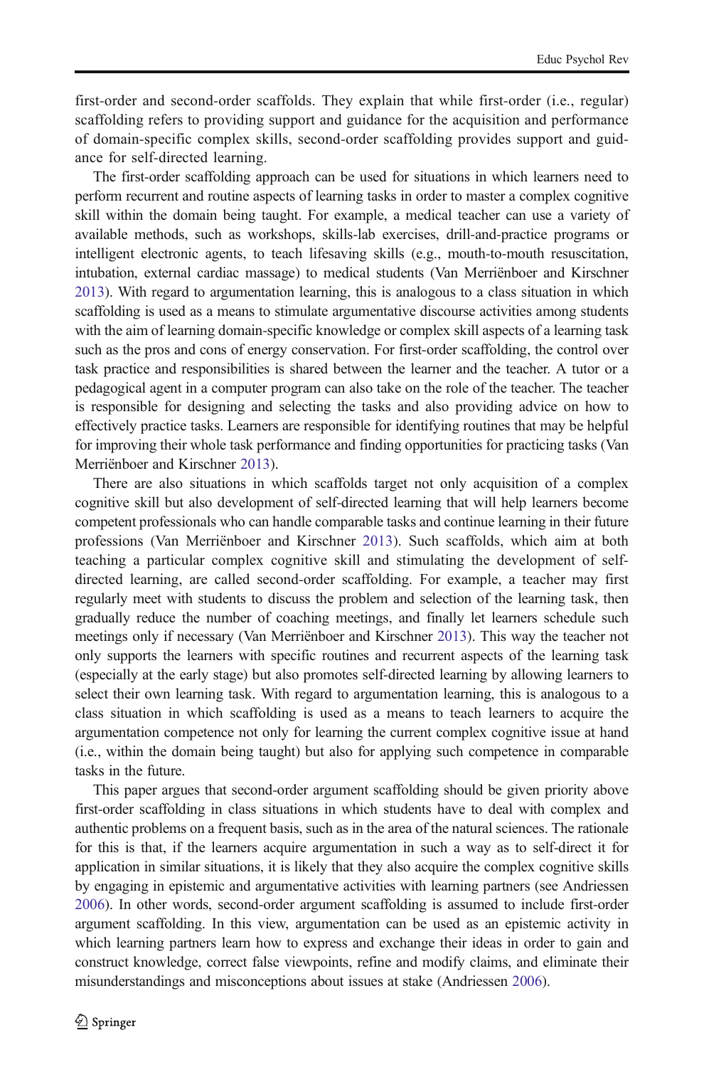first-order and second-order scaffolds. They explain that while first-order (i.e., regular) scaffolding refers to providing support and guidance for the acquisition and performance of domain-specific complex skills, second-order scaffolding provides support and guidance for self-directed learning.

The first-order scaffolding approach can be used for situations in which learners need to perform recurrent and routine aspects of learning tasks in order to master a complex cognitive skill within the domain being taught. For example, a medical teacher can use a variety of available methods, such as workshops, skills-lab exercises, drill-and-practice programs or intelligent electronic agents, to teach lifesaving skills (e.g., mouth-to-mouth resuscitation, intubation, external cardiac massage) to medical students (Van Merriënboer and Kirschner [2013](#page-24-0)). With regard to argumentation learning, this is analogous to a class situation in which scaffolding is used as a means to stimulate argumentative discourse activities among students with the aim of learning domain-specific knowledge or complex skill aspects of a learning task such as the pros and cons of energy conservation. For first-order scaffolding, the control over task practice and responsibilities is shared between the learner and the teacher. A tutor or a pedagogical agent in a computer program can also take on the role of the teacher. The teacher is responsible for designing and selecting the tasks and also providing advice on how to effectively practice tasks. Learners are responsible for identifying routines that may be helpful for improving their whole task performance and finding opportunities for practicing tasks (Van Merriënboer and Kirschner [2013\)](#page-24-0).

There are also situations in which scaffolds target not only acquisition of a complex cognitive skill but also development of self-directed learning that will help learners become competent professionals who can handle comparable tasks and continue learning in their future professions (Van Merriënboer and Kirschner [2013](#page-24-0)). Such scaffolds, which aim at both teaching a particular complex cognitive skill and stimulating the development of selfdirected learning, are called second-order scaffolding. For example, a teacher may first regularly meet with students to discuss the problem and selection of the learning task, then gradually reduce the number of coaching meetings, and finally let learners schedule such meetings only if necessary (Van Merriënboer and Kirschner [2013\)](#page-24-0). This way the teacher not only supports the learners with specific routines and recurrent aspects of the learning task (especially at the early stage) but also promotes self-directed learning by allowing learners to select their own learning task. With regard to argumentation learning, this is analogous to a class situation in which scaffolding is used as a means to teach learners to acquire the argumentation competence not only for learning the current complex cognitive issue at hand (i.e., within the domain being taught) but also for applying such competence in comparable tasks in the future.

This paper argues that second-order argument scaffolding should be given priority above first-order scaffolding in class situations in which students have to deal with complex and authentic problems on a frequent basis, such as in the area of the natural sciences. The rationale for this is that, if the learners acquire argumentation in such a way as to self-direct it for application in similar situations, it is likely that they also acquire the complex cognitive skills by engaging in epistemic and argumentative activities with learning partners (see Andriessen [2006](#page-20-0)). In other words, second-order argument scaffolding is assumed to include first-order argument scaffolding. In this view, argumentation can be used as an epistemic activity in which learning partners learn how to express and exchange their ideas in order to gain and construct knowledge, correct false viewpoints, refine and modify claims, and eliminate their misunderstandings and misconceptions about issues at stake (Andriessen [2006](#page-20-0)).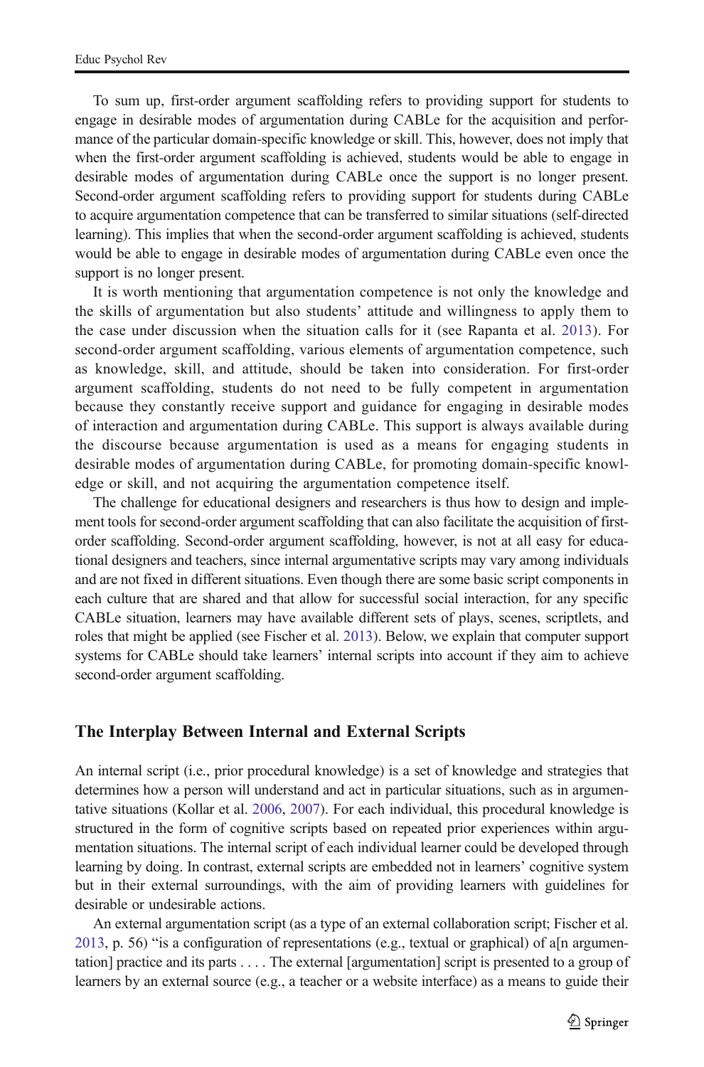To sum up, first-order argument scaffolding refers to providing support for students to engage in desirable modes of argumentation during CABLe for the acquisition and performance of the particular domain-specific knowledge or skill. This, however, does not imply that when the first-order argument scaffolding is achieved, students would be able to engage in desirable modes of argumentation during CABLe once the support is no longer present. Second-order argument scaffolding refers to providing support for students during CABLe to acquire argumentation competence that can be transferred to similar situations (self-directed learning). This implies that when the second-order argument scaffolding is achieved, students would be able to engage in desirable modes of argumentation during CABLe even once the support is no longer present.

It is worth mentioning that argumentation competence is not only the knowledge and the skills of argumentation but also students' attitude and willingness to apply them to the case under discussion when the situation calls for it (see Rapanta et al. [2013](#page-23-0)). For second-order argument scaffolding, various elements of argumentation competence, such as knowledge, skill, and attitude, should be taken into consideration. For first-order argument scaffolding, students do not need to be fully competent in argumentation because they constantly receive support and guidance for engaging in desirable modes of interaction and argumentation during CABLe. This support is always available during the discourse because argumentation is used as a means for engaging students in desirable modes of argumentation during CABLe, for promoting domain-specific knowledge or skill, and not acquiring the argumentation competence itself.

The challenge for educational designers and researchers is thus how to design and implement tools for second-order argument scaffolding that can also facilitate the acquisition of firstorder scaffolding. Second-order argument scaffolding, however, is not at all easy for educational designers and teachers, since internal argumentative scripts may vary among individuals and are not fixed in different situations. Even though there are some basic script components in each culture that are shared and that allow for successful social interaction, for any specific CABLe situation, learners may have available different sets of plays, scenes, scriptlets, and roles that might be applied (see Fischer et al. [2013](#page-21-0)). Below, we explain that computer support systems for CABLe should take learners' internal scripts into account if they aim to achieve second-order argument scaffolding.

#### The Interplay Between Internal and External Scripts

An internal script (i.e., prior procedural knowledge) is a set of knowledge and strategies that determines how a person will understand and act in particular situations, such as in argumentative situations (Kollar et al. [2006](#page-22-0), [2007\)](#page-22-0). For each individual, this procedural knowledge is structured in the form of cognitive scripts based on repeated prior experiences within argumentation situations. The internal script of each individual learner could be developed through learning by doing. In contrast, external scripts are embedded not in learners' cognitive system but in their external surroundings, with the aim of providing learners with guidelines for desirable or undesirable actions.

An external argumentation script (as a type of an external collaboration script; Fischer et al. [2013](#page-21-0), p. 56) "is a configuration of representations (e.g., textual or graphical) of a[n argumentation] practice and its parts . . . . The external [argumentation] script is presented to a group of learners by an external source (e.g., a teacher or a website interface) as a means to guide their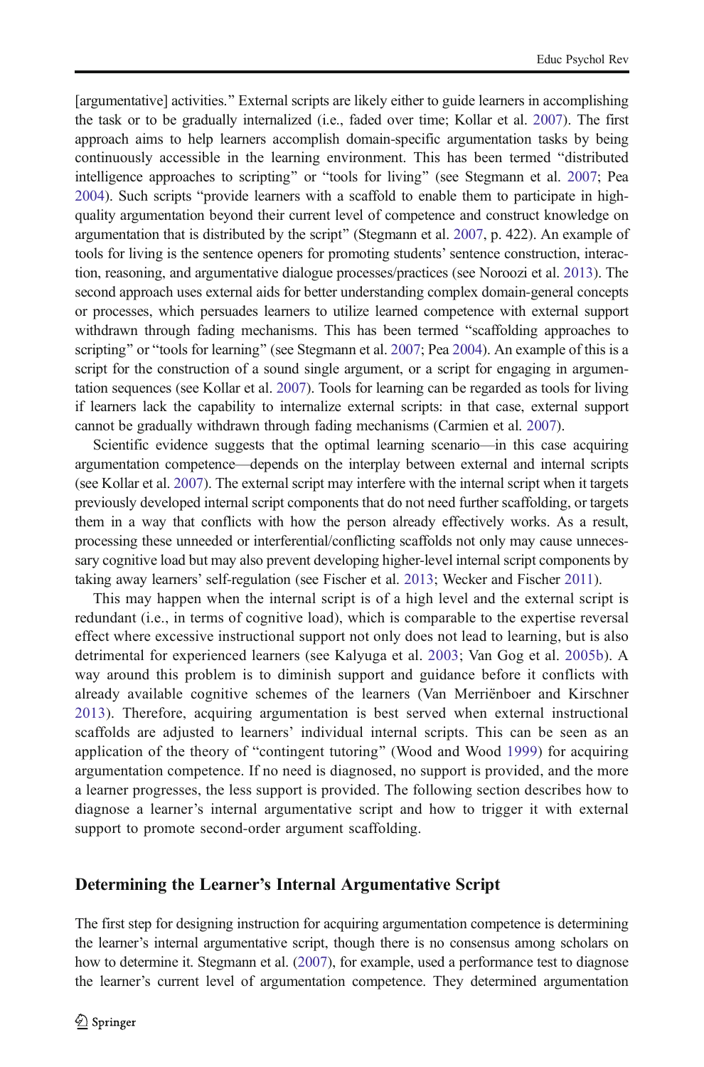[argumentative] activities." External scripts are likely either to guide learners in accomplishing the task or to be gradually internalized (i.e., faded over time; Kollar et al. [2007](#page-22-0)). The first approach aims to help learners accomplish domain-specific argumentation tasks by being continuously accessible in the learning environment. This has been termed "distributed" intelligence approaches to scripting" or "tools for living" (see Stegmann et al. [2007;](#page-23-0) Pea [2004](#page-22-0)). Such scripts "provide learners with a scaffold to enable them to participate in highquality argumentation beyond their current level of competence and construct knowledge on argumentation that is distributed by the script" (Stegmann et al. [2007,](#page-23-0) p. 422). An example of tools for living is the sentence openers for promoting students' sentence construction, interaction, reasoning, and argumentative dialogue processes/practices (see Noroozi et al. [2013\)](#page-22-0). The second approach uses external aids for better understanding complex domain-general concepts or processes, which persuades learners to utilize learned competence with external support withdrawn through fading mechanisms. This has been termed "scaffolding approaches to scripting" or "tools for learning" (see Stegmann et al. [2007;](#page-23-0) Pea [2004](#page-22-0)). An example of this is a script for the construction of a sound single argument, or a script for engaging in argumentation sequences (see Kollar et al. [2007](#page-22-0)). Tools for learning can be regarded as tools for living if learners lack the capability to internalize external scripts: in that case, external support cannot be gradually withdrawn through fading mechanisms (Carmien et al. [2007](#page-21-0)).

Scientific evidence suggests that the optimal learning scenario—in this case acquiring argumentation competence—depends on the interplay between external and internal scripts (see Kollar et al. [2007](#page-22-0)). The external script may interfere with the internal script when it targets previously developed internal script components that do not need further scaffolding, or targets them in a way that conflicts with how the person already effectively works. As a result, processing these unneeded or interferential/conflicting scaffolds not only may cause unnecessary cognitive load but may also prevent developing higher-level internal script components by taking away learners' self-regulation (see Fischer et al. [2013;](#page-21-0) Wecker and Fischer [2011\)](#page-24-0).

This may happen when the internal script is of a high level and the external script is redundant (i.e., in terms of cognitive load), which is comparable to the expertise reversal effect where excessive instructional support not only does not lead to learning, but is also detrimental for experienced learners (see Kalyuga et al. [2003;](#page-21-0) Van Gog et al. [2005b](#page-24-0)). A way around this problem is to diminish support and guidance before it conflicts with already available cognitive schemes of the learners (Van Merriënboer and Kirschner [2013](#page-24-0)). Therefore, acquiring argumentation is best served when external instructional scaffolds are adjusted to learners' individual internal scripts. This can be seen as an application of the theory of "contingent tutoring" (Wood and Wood [1999\)](#page-24-0) for acquiring argumentation competence. If no need is diagnosed, no support is provided, and the more a learner progresses, the less support is provided. The following section describes how to diagnose a learner's internal argumentative script and how to trigger it with external support to promote second-order argument scaffolding.

#### Determining the Learner's Internal Argumentative Script

The first step for designing instruction for acquiring argumentation competence is determining the learner's internal argumentative script, though there is no consensus among scholars on how to determine it. Stegmann et al. ([2007](#page-23-0)), for example, used a performance test to diagnose the learner's current level of argumentation competence. They determined argumentation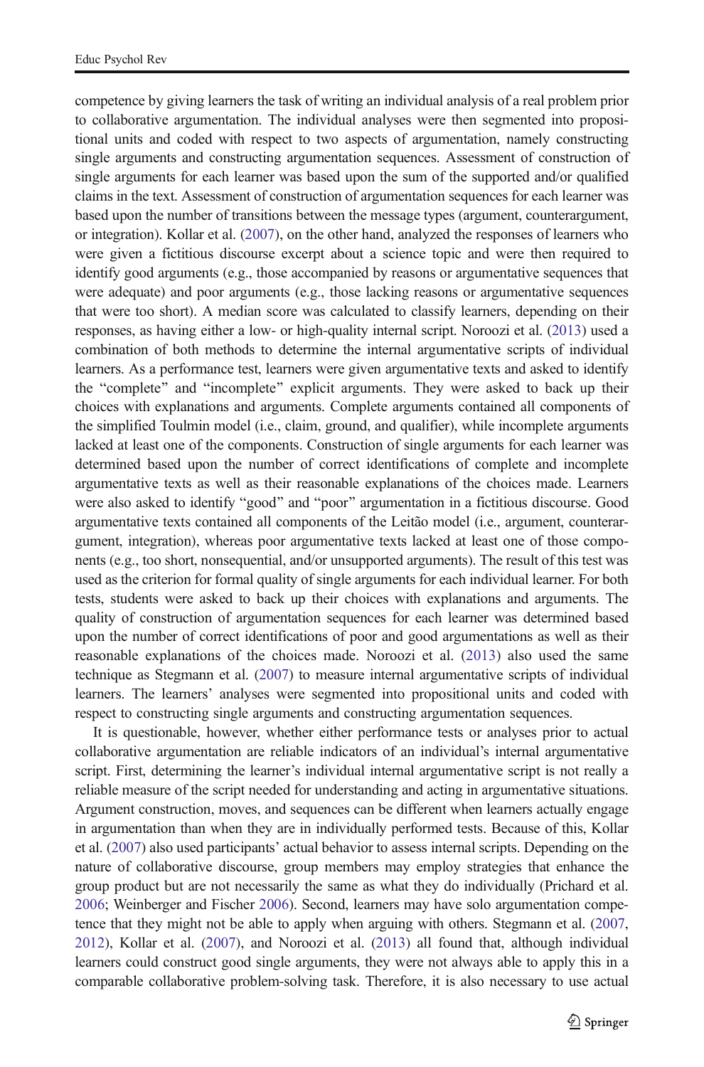competence by giving learners the task of writing an individual analysis of a real problem prior to collaborative argumentation. The individual analyses were then segmented into propositional units and coded with respect to two aspects of argumentation, namely constructing single arguments and constructing argumentation sequences. Assessment of construction of single arguments for each learner was based upon the sum of the supported and/or qualified claims in the text. Assessment of construction of argumentation sequences for each learner was based upon the number of transitions between the message types (argument, counterargument, or integration). Kollar et al. [\(2007](#page-22-0)), on the other hand, analyzed the responses of learners who were given a fictitious discourse excerpt about a science topic and were then required to identify good arguments (e.g., those accompanied by reasons or argumentative sequences that were adequate) and poor arguments (e.g., those lacking reasons or argumentative sequences that were too short). A median score was calculated to classify learners, depending on their responses, as having either a low- or high-quality internal script. Noroozi et al. ([2013](#page-22-0)) used a combination of both methods to determine the internal argumentative scripts of individual learners. As a performance test, learners were given argumentative texts and asked to identify the "complete" and "incomplete" explicit arguments. They were asked to back up their choices with explanations and arguments. Complete arguments contained all components of the simplified Toulmin model (i.e., claim, ground, and qualifier), while incomplete arguments lacked at least one of the components. Construction of single arguments for each learner was determined based upon the number of correct identifications of complete and incomplete argumentative texts as well as their reasonable explanations of the choices made. Learners were also asked to identify "good" and "poor" argumentation in a fictitious discourse. Good argumentative texts contained all components of the Leitão model (i.e., argument, counterargument, integration), whereas poor argumentative texts lacked at least one of those components (e.g., too short, nonsequential, and/or unsupported arguments). The result of this test was used as the criterion for formal quality of single arguments for each individual learner. For both tests, students were asked to back up their choices with explanations and arguments. The quality of construction of argumentation sequences for each learner was determined based upon the number of correct identifications of poor and good argumentations as well as their reasonable explanations of the choices made. Noroozi et al. ([2013\)](#page-22-0) also used the same technique as Stegmann et al. ([2007](#page-23-0)) to measure internal argumentative scripts of individual learners. The learners' analyses were segmented into propositional units and coded with respect to constructing single arguments and constructing argumentation sequences.

It is questionable, however, whether either performance tests or analyses prior to actual collaborative argumentation are reliable indicators of an individual's internal argumentative script. First, determining the learner's individual internal argumentative script is not really a reliable measure of the script needed for understanding and acting in argumentative situations. Argument construction, moves, and sequences can be different when learners actually engage in argumentation than when they are in individually performed tests. Because of this, Kollar et al. ([2007](#page-22-0)) also used participants' actual behavior to assess internal scripts. Depending on the nature of collaborative discourse, group members may employ strategies that enhance the group product but are not necessarily the same as what they do individually (Prichard et al. [2006](#page-23-0); Weinberger and Fischer [2006](#page-24-0)). Second, learners may have solo argumentation competence that they might not be able to apply when arguing with others. Stegmann et al. ([2007](#page-23-0), [2012](#page-23-0)), Kollar et al. ([2007](#page-22-0)), and Noroozi et al. ([2013](#page-22-0)) all found that, although individual learners could construct good single arguments, they were not always able to apply this in a comparable collaborative problem-solving task. Therefore, it is also necessary to use actual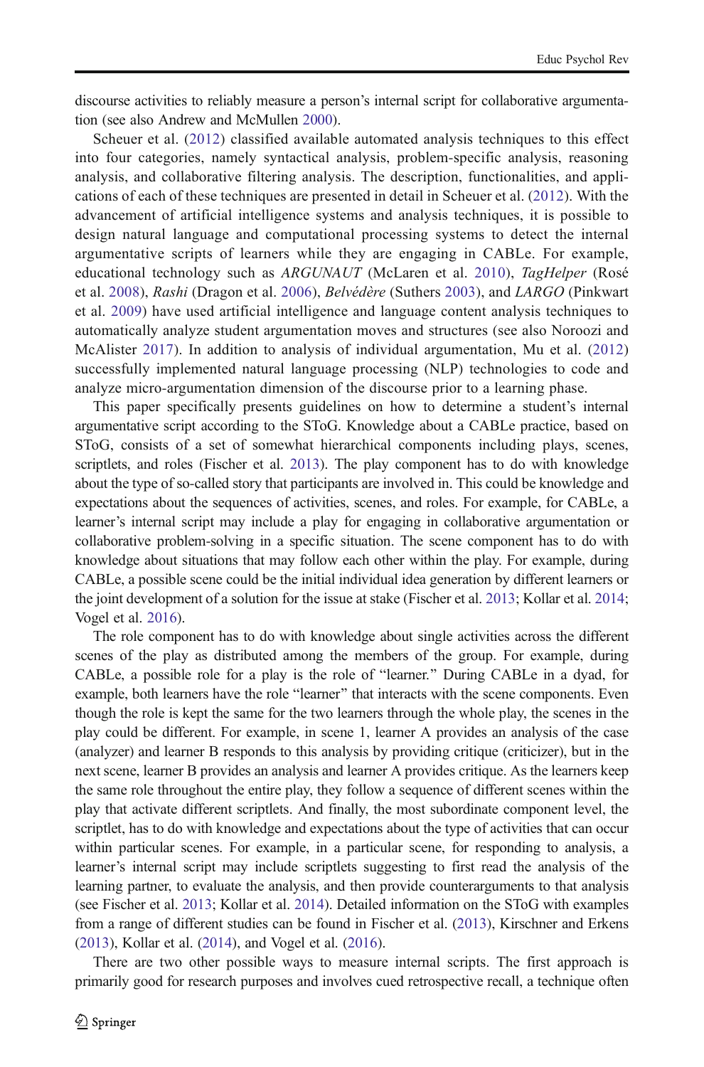discourse activities to reliably measure a person's internal script for collaborative argumentation (see also Andrew and McMullen [2000\)](#page-20-0).

Scheuer et al. [\(2012\)](#page-23-0) classified available automated analysis techniques to this effect into four categories, namely syntactical analysis, problem-specific analysis, reasoning analysis, and collaborative filtering analysis. The description, functionalities, and applications of each of these techniques are presented in detail in Scheuer et al. ([2012](#page-23-0)). With the advancement of artificial intelligence systems and analysis techniques, it is possible to design natural language and computational processing systems to detect the internal argumentative scripts of learners while they are engaging in CABLe. For example, educational technology such as ARGUNAUT (McLaren et al. [2010\)](#page-22-0), TagHelper (Rosé et al. [2008](#page-23-0)), Rashi (Dragon et al. [2006\)](#page-21-0), Belvédère (Suthers [2003](#page-23-0)), and LARGO (Pinkwart et al. [2009\)](#page-23-0) have used artificial intelligence and language content analysis techniques to automatically analyze student argumentation moves and structures (see also Noroozi and McAlister [2017\)](#page-22-0). In addition to analysis of individual argumentation, Mu et al. [\(2012\)](#page-22-0) successfully implemented natural language processing (NLP) technologies to code and analyze micro-argumentation dimension of the discourse prior to a learning phase.

This paper specifically presents guidelines on how to determine a student's internal argumentative script according to the SToG. Knowledge about a CABLe practice, based on SToG, consists of a set of somewhat hierarchical components including plays, scenes, scriptlets, and roles (Fischer et al. [2013\)](#page-21-0). The play component has to do with knowledge about the type of so-called story that participants are involved in. This could be knowledge and expectations about the sequences of activities, scenes, and roles. For example, for CABLe, a learner's internal script may include a play for engaging in collaborative argumentation or collaborative problem-solving in a specific situation. The scene component has to do with knowledge about situations that may follow each other within the play. For example, during CABLe, a possible scene could be the initial individual idea generation by different learners or the joint development of a solution for the issue at stake (Fischer et al. [2013;](#page-21-0) Kollar et al. [2014](#page-22-0); Vogel et al. [2016](#page-24-0)).

The role component has to do with knowledge about single activities across the different scenes of the play as distributed among the members of the group. For example, during CABLe, a possible role for a play is the role of "learner." During CABLe in a dyad, for example, both learners have the role "learner" that interacts with the scene components. Even though the role is kept the same for the two learners through the whole play, the scenes in the play could be different. For example, in scene 1, learner A provides an analysis of the case (analyzer) and learner B responds to this analysis by providing critique (criticizer), but in the next scene, learner B provides an analysis and learner A provides critique. As the learners keep the same role throughout the entire play, they follow a sequence of different scenes within the play that activate different scriptlets. And finally, the most subordinate component level, the scriptlet, has to do with knowledge and expectations about the type of activities that can occur within particular scenes. For example, in a particular scene, for responding to analysis, a learner's internal script may include scriptlets suggesting to first read the analysis of the learning partner, to evaluate the analysis, and then provide counterarguments to that analysis (see Fischer et al. [2013](#page-21-0); Kollar et al. [2014](#page-22-0)). Detailed information on the SToG with examples from a range of different studies can be found in Fischer et al. [\(2013\)](#page-21-0), Kirschner and Erkens ([2013](#page-22-0)), Kollar et al. [\(2014\)](#page-22-0), and Vogel et al. [\(2016\)](#page-24-0).

There are two other possible ways to measure internal scripts. The first approach is primarily good for research purposes and involves cued retrospective recall, a technique often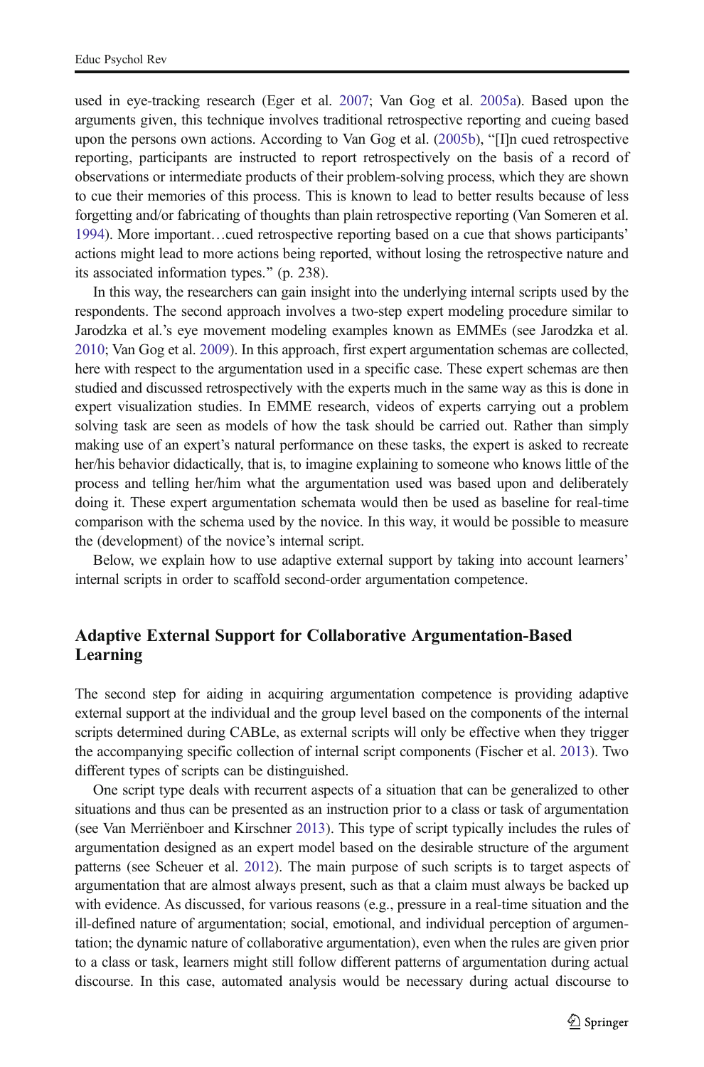used in eye-tracking research (Eger et al. [2007](#page-21-0); Van Gog et al. [2005a](#page-24-0)). Based upon the arguments given, this technique involves traditional retrospective reporting and cueing based upon the persons own actions. According to Van Gog et al.  $(2005b)$  $(2005b)$ , "[I]n cued retrospective reporting, participants are instructed to report retrospectively on the basis of a record of observations or intermediate products of their problem-solving process, which they are shown to cue their memories of this process. This is known to lead to better results because of less forgetting and/or fabricating of thoughts than plain retrospective reporting (Van Someren et al. [1994](#page-24-0)). More important…cued retrospective reporting based on a cue that shows participants' actions might lead to more actions being reported, without losing the retrospective nature and its associated information types." (p. 238).

In this way, the researchers can gain insight into the underlying internal scripts used by the respondents. The second approach involves a two-step expert modeling procedure similar to Jarodzka et al.'s eye movement modeling examples known as EMMEs (see Jarodzka et al. [2010](#page-21-0); Van Gog et al. [2009](#page-24-0)). In this approach, first expert argumentation schemas are collected, here with respect to the argumentation used in a specific case. These expert schemas are then studied and discussed retrospectively with the experts much in the same way as this is done in expert visualization studies. In EMME research, videos of experts carrying out a problem solving task are seen as models of how the task should be carried out. Rather than simply making use of an expert's natural performance on these tasks, the expert is asked to recreate her/his behavior didactically, that is, to imagine explaining to someone who knows little of the process and telling her/him what the argumentation used was based upon and deliberately doing it. These expert argumentation schemata would then be used as baseline for real-time comparison with the schema used by the novice. In this way, it would be possible to measure the (development) of the novice's internal script.

Below, we explain how to use adaptive external support by taking into account learners' internal scripts in order to scaffold second-order argumentation competence.

# Adaptive External Support for Collaborative Argumentation-Based Learning

The second step for aiding in acquiring argumentation competence is providing adaptive external support at the individual and the group level based on the components of the internal scripts determined during CABLe, as external scripts will only be effective when they trigger the accompanying specific collection of internal script components (Fischer et al. [2013](#page-21-0)). Two different types of scripts can be distinguished.

One script type deals with recurrent aspects of a situation that can be generalized to other situations and thus can be presented as an instruction prior to a class or task of argumentation (see Van Merriënboer and Kirschner [2013](#page-24-0)). This type of script typically includes the rules of argumentation designed as an expert model based on the desirable structure of the argument patterns (see Scheuer et al. [2012](#page-23-0)). The main purpose of such scripts is to target aspects of argumentation that are almost always present, such as that a claim must always be backed up with evidence. As discussed, for various reasons (e.g., pressure in a real-time situation and the ill-defined nature of argumentation; social, emotional, and individual perception of argumentation; the dynamic nature of collaborative argumentation), even when the rules are given prior to a class or task, learners might still follow different patterns of argumentation during actual discourse. In this case, automated analysis would be necessary during actual discourse to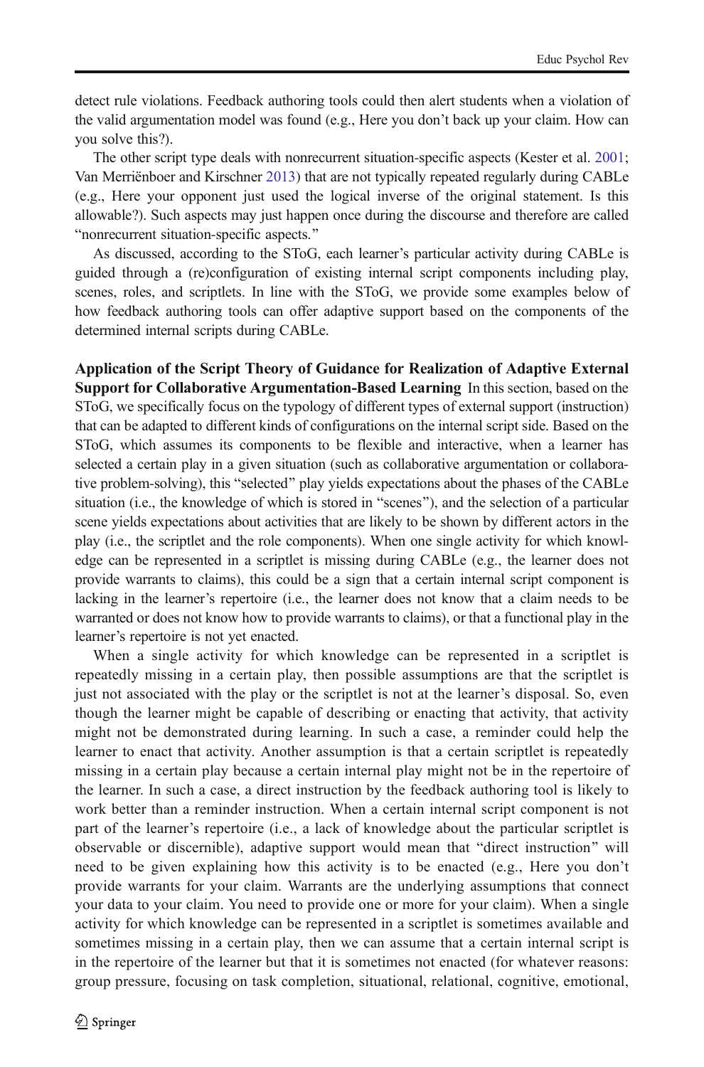detect rule violations. Feedback authoring tools could then alert students when a violation of the valid argumentation model was found (e.g., Here you don't back up your claim. How can you solve this?).

The other script type deals with nonrecurrent situation-specific aspects (Kester et al. [2001](#page-21-0); Van Merriënboer and Kirschner [2013\)](#page-24-0) that are not typically repeated regularly during CABLe (e.g., Here your opponent just used the logical inverse of the original statement. Is this allowable?). Such aspects may just happen once during the discourse and therefore are called "nonrecurrent situation-specific aspects."

As discussed, according to the SToG, each learner's particular activity during CABLe is guided through a (re)configuration of existing internal script components including play, scenes, roles, and scriptlets. In line with the SToG, we provide some examples below of how feedback authoring tools can offer adaptive support based on the components of the determined internal scripts during CABLe.

Application of the Script Theory of Guidance for Realization of Adaptive External Support for Collaborative Argumentation-Based Learning In this section, based on the SToG, we specifically focus on the typology of different types of external support (instruction) that can be adapted to different kinds of configurations on the internal script side. Based on the SToG, which assumes its components to be flexible and interactive, when a learner has selected a certain play in a given situation (such as collaborative argumentation or collaborative problem-solving), this "selected" play yields expectations about the phases of the CABLe situation (i.e., the knowledge of which is stored in "scenes"), and the selection of a particular scene yields expectations about activities that are likely to be shown by different actors in the play (i.e., the scriptlet and the role components). When one single activity for which knowledge can be represented in a scriptlet is missing during CABLe (e.g., the learner does not provide warrants to claims), this could be a sign that a certain internal script component is lacking in the learner's repertoire (i.e., the learner does not know that a claim needs to be warranted or does not know how to provide warrants to claims), or that a functional play in the learner's repertoire is not yet enacted.

When a single activity for which knowledge can be represented in a scriptlet is repeatedly missing in a certain play, then possible assumptions are that the scriptlet is just not associated with the play or the scriptlet is not at the learner's disposal. So, even though the learner might be capable of describing or enacting that activity, that activity might not be demonstrated during learning. In such a case, a reminder could help the learner to enact that activity. Another assumption is that a certain scriptlet is repeatedly missing in a certain play because a certain internal play might not be in the repertoire of the learner. In such a case, a direct instruction by the feedback authoring tool is likely to work better than a reminder instruction. When a certain internal script component is not part of the learner's repertoire (i.e., a lack of knowledge about the particular scriptlet is observable or discernible), adaptive support would mean that "direct instruction" will need to be given explaining how this activity is to be enacted (e.g., Here you don't provide warrants for your claim. Warrants are the underlying assumptions that connect your data to your claim. You need to provide one or more for your claim). When a single activity for which knowledge can be represented in a scriptlet is sometimes available and sometimes missing in a certain play, then we can assume that a certain internal script is in the repertoire of the learner but that it is sometimes not enacted (for whatever reasons: group pressure, focusing on task completion, situational, relational, cognitive, emotional,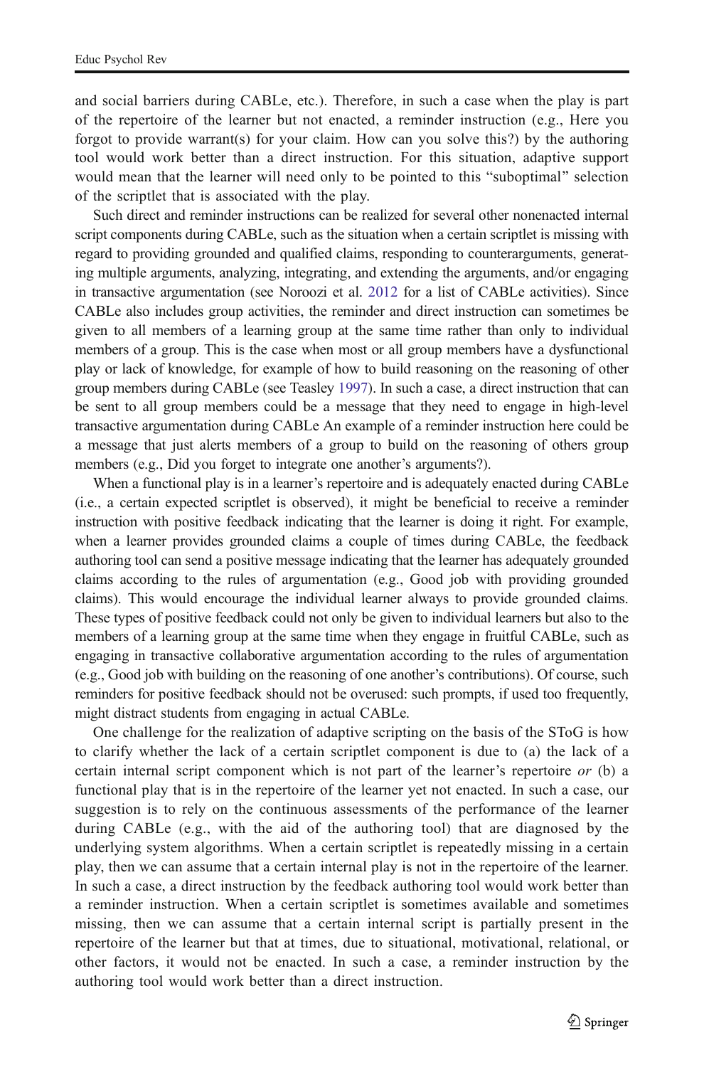and social barriers during CABLe, etc.). Therefore, in such a case when the play is part of the repertoire of the learner but not enacted, a reminder instruction (e.g., Here you forgot to provide warrant(s) for your claim. How can you solve this?) by the authoring tool would work better than a direct instruction. For this situation, adaptive support would mean that the learner will need only to be pointed to this "suboptimal" selection of the scriptlet that is associated with the play.

Such direct and reminder instructions can be realized for several other nonenacted internal script components during CABLe, such as the situation when a certain scriptlet is missing with regard to providing grounded and qualified claims, responding to counterarguments, generating multiple arguments, analyzing, integrating, and extending the arguments, and/or engaging in transactive argumentation (see Noroozi et al. [2012](#page-22-0) for a list of CABLe activities). Since CABLe also includes group activities, the reminder and direct instruction can sometimes be given to all members of a learning group at the same time rather than only to individual members of a group. This is the case when most or all group members have a dysfunctional play or lack of knowledge, for example of how to build reasoning on the reasoning of other group members during CABLe (see Teasley [1997\)](#page-23-0). In such a case, a direct instruction that can be sent to all group members could be a message that they need to engage in high-level transactive argumentation during CABLe An example of a reminder instruction here could be a message that just alerts members of a group to build on the reasoning of others group members (e.g., Did you forget to integrate one another's arguments?).

When a functional play is in a learner's repertoire and is adequately enacted during CABLe (i.e., a certain expected scriptlet is observed), it might be beneficial to receive a reminder instruction with positive feedback indicating that the learner is doing it right. For example, when a learner provides grounded claims a couple of times during CABLe, the feedback authoring tool can send a positive message indicating that the learner has adequately grounded claims according to the rules of argumentation (e.g., Good job with providing grounded claims). This would encourage the individual learner always to provide grounded claims. These types of positive feedback could not only be given to individual learners but also to the members of a learning group at the same time when they engage in fruitful CABLe, such as engaging in transactive collaborative argumentation according to the rules of argumentation (e.g., Good job with building on the reasoning of one another's contributions). Of course, such reminders for positive feedback should not be overused: such prompts, if used too frequently, might distract students from engaging in actual CABLe.

One challenge for the realization of adaptive scripting on the basis of the SToG is how to clarify whether the lack of a certain scriptlet component is due to (a) the lack of a certain internal script component which is not part of the learner's repertoire  $or$  (b) a functional play that is in the repertoire of the learner yet not enacted. In such a case, our suggestion is to rely on the continuous assessments of the performance of the learner during CABLe (e.g., with the aid of the authoring tool) that are diagnosed by the underlying system algorithms. When a certain scriptlet is repeatedly missing in a certain play, then we can assume that a certain internal play is not in the repertoire of the learner. In such a case, a direct instruction by the feedback authoring tool would work better than a reminder instruction. When a certain scriptlet is sometimes available and sometimes missing, then we can assume that a certain internal script is partially present in the repertoire of the learner but that at times, due to situational, motivational, relational, or other factors, it would not be enacted. In such a case, a reminder instruction by the authoring tool would work better than a direct instruction.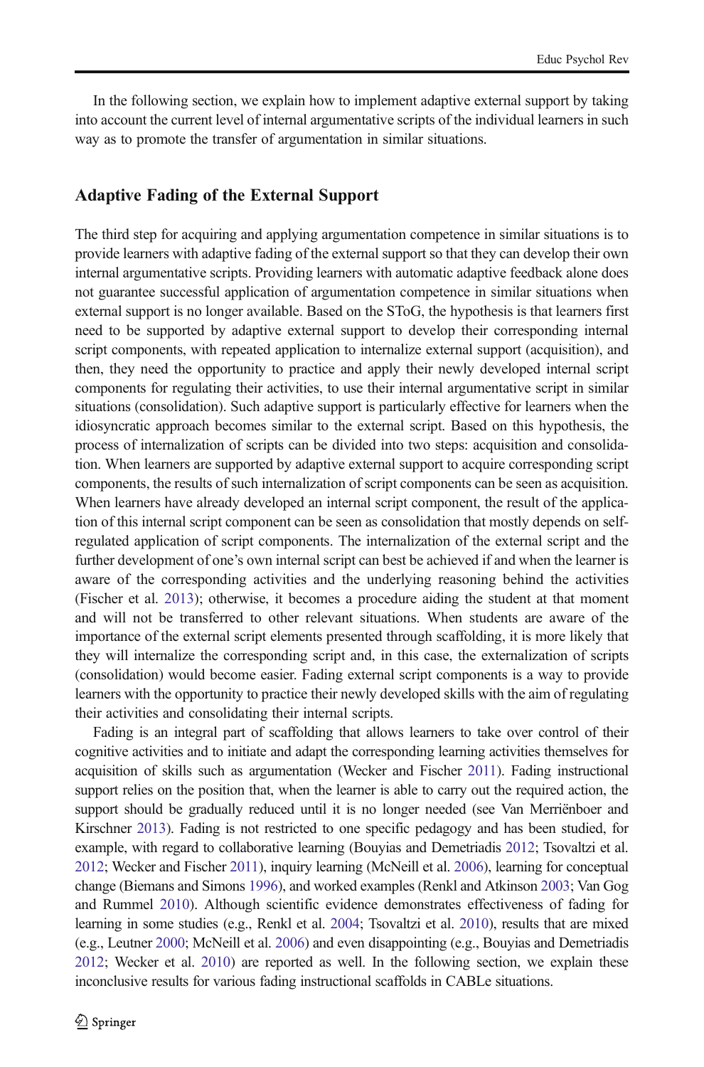In the following section, we explain how to implement adaptive external support by taking into account the current level of internal argumentative scripts of the individual learners in such way as to promote the transfer of argumentation in similar situations.

## Adaptive Fading of the External Support

The third step for acquiring and applying argumentation competence in similar situations is to provide learners with adaptive fading of the external support so that they can develop their own internal argumentative scripts. Providing learners with automatic adaptive feedback alone does not guarantee successful application of argumentation competence in similar situations when external support is no longer available. Based on the SToG, the hypothesis is that learners first need to be supported by adaptive external support to develop their corresponding internal script components, with repeated application to internalize external support (acquisition), and then, they need the opportunity to practice and apply their newly developed internal script components for regulating their activities, to use their internal argumentative script in similar situations (consolidation). Such adaptive support is particularly effective for learners when the idiosyncratic approach becomes similar to the external script. Based on this hypothesis, the process of internalization of scripts can be divided into two steps: acquisition and consolidation. When learners are supported by adaptive external support to acquire corresponding script components, the results of such internalization of script components can be seen as acquisition. When learners have already developed an internal script component, the result of the application of this internal script component can be seen as consolidation that mostly depends on selfregulated application of script components. The internalization of the external script and the further development of one's own internal script can best be achieved if and when the learner is aware of the corresponding activities and the underlying reasoning behind the activities (Fischer et al. [2013](#page-21-0)); otherwise, it becomes a procedure aiding the student at that moment and will not be transferred to other relevant situations. When students are aware of the importance of the external script elements presented through scaffolding, it is more likely that they will internalize the corresponding script and, in this case, the externalization of scripts (consolidation) would become easier. Fading external script components is a way to provide learners with the opportunity to practice their newly developed skills with the aim of regulating their activities and consolidating their internal scripts.

Fading is an integral part of scaffolding that allows learners to take over control of their cognitive activities and to initiate and adapt the corresponding learning activities themselves for acquisition of skills such as argumentation (Wecker and Fischer [2011](#page-24-0)). Fading instructional support relies on the position that, when the learner is able to carry out the required action, the support should be gradually reduced until it is no longer needed (see Van Merriënboer and Kirschner [2013\)](#page-24-0). Fading is not restricted to one specific pedagogy and has been studied, for example, with regard to collaborative learning (Bouyias and Demetriadis [2012](#page-21-0); Tsovaltzi et al. [2012;](#page-24-0) Wecker and Fischer [2011](#page-24-0)), inquiry learning (McNeill et al. [2006\)](#page-22-0), learning for conceptual change (Biemans and Simons [1996](#page-21-0)), and worked examples (Renkl and Atkinson [2003](#page-23-0); Van Gog and Rummel [2010](#page-24-0)). Although scientific evidence demonstrates effectiveness of fading for learning in some studies (e.g., Renkl et al. [2004;](#page-23-0) Tsovaltzi et al. [2010](#page-24-0)), results that are mixed (e.g., Leutner [2000](#page-22-0); McNeill et al. [2006](#page-22-0)) and even disappointing (e.g., Bouyias and Demetriadis [2012](#page-21-0); Wecker et al. [2010\)](#page-24-0) are reported as well. In the following section, we explain these inconclusive results for various fading instructional scaffolds in CABLe situations.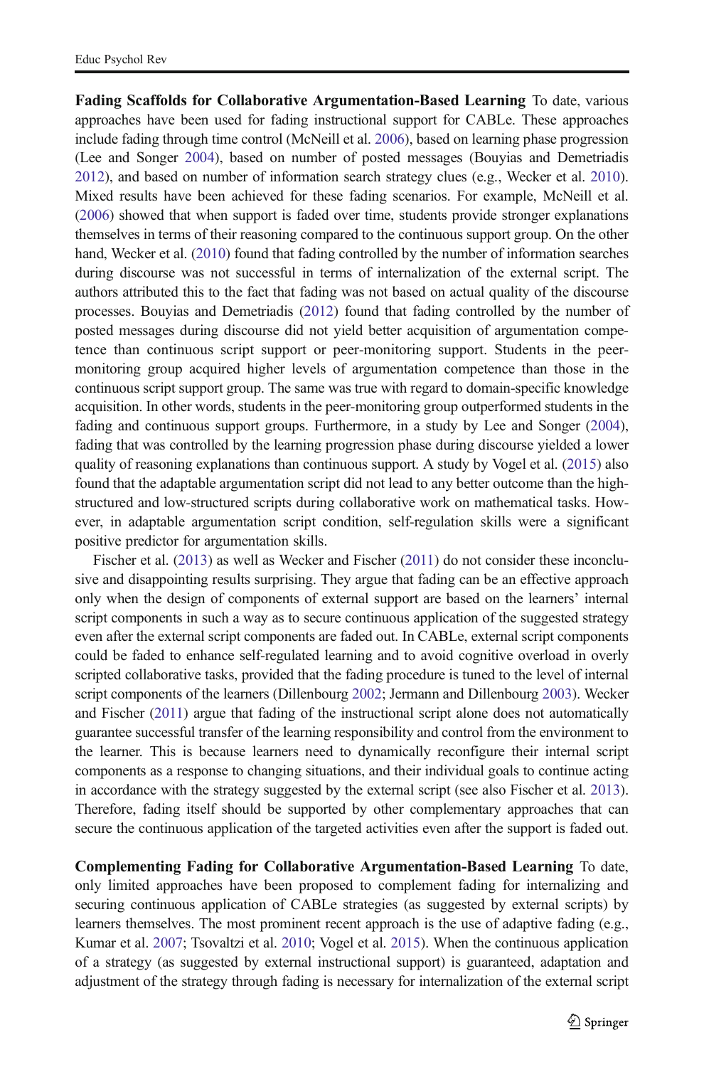Fading Scaffolds for Collaborative Argumentation-Based Learning To date, various approaches have been used for fading instructional support for CABLe. These approaches include fading through time control (McNeill et al. [2006\)](#page-22-0), based on learning phase progression (Lee and Songer [2004\)](#page-22-0), based on number of posted messages (Bouyias and Demetriadis [2012](#page-21-0)), and based on number of information search strategy clues (e.g., Wecker et al. [2010](#page-24-0)). Mixed results have been achieved for these fading scenarios. For example, McNeill et al. ([2006](#page-22-0)) showed that when support is faded over time, students provide stronger explanations themselves in terms of their reasoning compared to the continuous support group. On the other hand, Wecker et al. [\(2010\)](#page-24-0) found that fading controlled by the number of information searches during discourse was not successful in terms of internalization of the external script. The authors attributed this to the fact that fading was not based on actual quality of the discourse processes. Bouyias and Demetriadis ([2012](#page-21-0)) found that fading controlled by the number of posted messages during discourse did not yield better acquisition of argumentation competence than continuous script support or peer-monitoring support. Students in the peermonitoring group acquired higher levels of argumentation competence than those in the continuous script support group. The same was true with regard to domain-specific knowledge acquisition. In other words, students in the peer-monitoring group outperformed students in the fading and continuous support groups. Furthermore, in a study by Lee and Songer ([2004](#page-22-0)), fading that was controlled by the learning progression phase during discourse yielded a lower quality of reasoning explanations than continuous support. A study by Vogel et al. [\(2015](#page-24-0)) also found that the adaptable argumentation script did not lead to any better outcome than the highstructured and low-structured scripts during collaborative work on mathematical tasks. However, in adaptable argumentation script condition, self-regulation skills were a significant positive predictor for argumentation skills.

Fischer et al. [\(2013\)](#page-21-0) as well as Wecker and Fischer [\(2011](#page-24-0)) do not consider these inconclusive and disappointing results surprising. They argue that fading can be an effective approach only when the design of components of external support are based on the learners' internal script components in such a way as to secure continuous application of the suggested strategy even after the external script components are faded out. In CABLe, external script components could be faded to enhance self-regulated learning and to avoid cognitive overload in overly scripted collaborative tasks, provided that the fading procedure is tuned to the level of internal script components of the learners (Dillenbourg [2002](#page-21-0); Jermann and Dillenbourg [2003](#page-21-0)). Wecker and Fischer [\(2011\)](#page-24-0) argue that fading of the instructional script alone does not automatically guarantee successful transfer of the learning responsibility and control from the environment to the learner. This is because learners need to dynamically reconfigure their internal script components as a response to changing situations, and their individual goals to continue acting in accordance with the strategy suggested by the external script (see also Fischer et al. [2013](#page-21-0)). Therefore, fading itself should be supported by other complementary approaches that can secure the continuous application of the targeted activities even after the support is faded out.

Complementing Fading for Collaborative Argumentation-Based Learning To date, only limited approaches have been proposed to complement fading for internalizing and securing continuous application of CABLe strategies (as suggested by external scripts) by learners themselves. The most prominent recent approach is the use of adaptive fading (e.g., Kumar et al. [2007](#page-22-0); Tsovaltzi et al. [2010](#page-24-0); Vogel et al. [2015\)](#page-24-0). When the continuous application of a strategy (as suggested by external instructional support) is guaranteed, adaptation and adjustment of the strategy through fading is necessary for internalization of the external script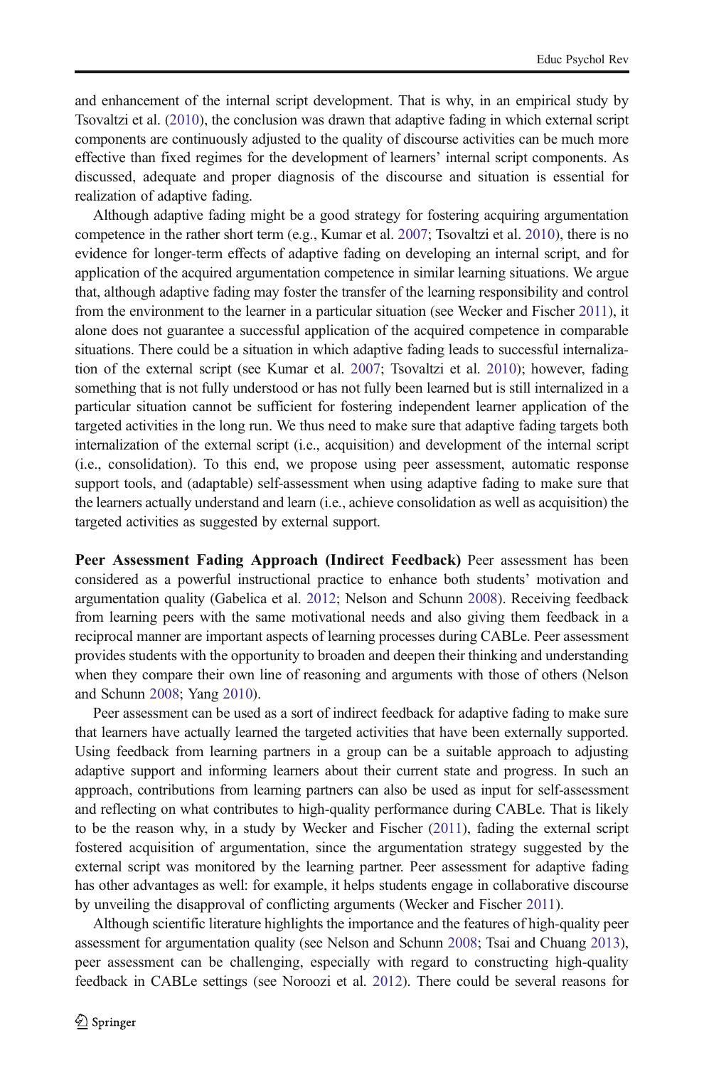and enhancement of the internal script development. That is why, in an empirical study by Tsovaltzi et al. ([2010](#page-24-0)), the conclusion was drawn that adaptive fading in which external script components are continuously adjusted to the quality of discourse activities can be much more effective than fixed regimes for the development of learners' internal script components. As discussed, adequate and proper diagnosis of the discourse and situation is essential for realization of adaptive fading.

Although adaptive fading might be a good strategy for fostering acquiring argumentation competence in the rather short term (e.g., Kumar et al. [2007](#page-22-0); Tsovaltzi et al. [2010\)](#page-24-0), there is no evidence for longer-term effects of adaptive fading on developing an internal script, and for application of the acquired argumentation competence in similar learning situations. We argue that, although adaptive fading may foster the transfer of the learning responsibility and control from the environment to the learner in a particular situation (see Wecker and Fischer [2011\)](#page-24-0), it alone does not guarantee a successful application of the acquired competence in comparable situations. There could be a situation in which adaptive fading leads to successful internalization of the external script (see Kumar et al. [2007;](#page-22-0) Tsovaltzi et al. [2010](#page-24-0)); however, fading something that is not fully understood or has not fully been learned but is still internalized in a particular situation cannot be sufficient for fostering independent learner application of the targeted activities in the long run. We thus need to make sure that adaptive fading targets both internalization of the external script (i.e., acquisition) and development of the internal script (i.e., consolidation). To this end, we propose using peer assessment, automatic response support tools, and (adaptable) self-assessment when using adaptive fading to make sure that the learners actually understand and learn (i.e., achieve consolidation as well as acquisition) the targeted activities as suggested by external support.

Peer Assessment Fading Approach (Indirect Feedback) Peer assessment has been considered as a powerful instructional practice to enhance both students' motivation and argumentation quality (Gabelica et al. [2012;](#page-21-0) Nelson and Schunn [2008\)](#page-22-0). Receiving feedback from learning peers with the same motivational needs and also giving them feedback in a reciprocal manner are important aspects of learning processes during CABLe. Peer assessment provides students with the opportunity to broaden and deepen their thinking and understanding when they compare their own line of reasoning and arguments with those of others (Nelson and Schunn [2008;](#page-22-0) Yang [2010\)](#page-24-0).

Peer assessment can be used as a sort of indirect feedback for adaptive fading to make sure that learners have actually learned the targeted activities that have been externally supported. Using feedback from learning partners in a group can be a suitable approach to adjusting adaptive support and informing learners about their current state and progress. In such an approach, contributions from learning partners can also be used as input for self-assessment and reflecting on what contributes to high-quality performance during CABLe. That is likely to be the reason why, in a study by Wecker and Fischer [\(2011\)](#page-24-0), fading the external script fostered acquisition of argumentation, since the argumentation strategy suggested by the external script was monitored by the learning partner. Peer assessment for adaptive fading has other advantages as well: for example, it helps students engage in collaborative discourse by unveiling the disapproval of conflicting arguments (Wecker and Fischer [2011\)](#page-24-0).

Although scientific literature highlights the importance and the features of high-quality peer assessment for argumentation quality (see Nelson and Schunn [2008](#page-22-0); Tsai and Chuang [2013](#page-23-0)), peer assessment can be challenging, especially with regard to constructing high-quality feedback in CABLe settings (see Noroozi et al. [2012](#page-22-0)). There could be several reasons for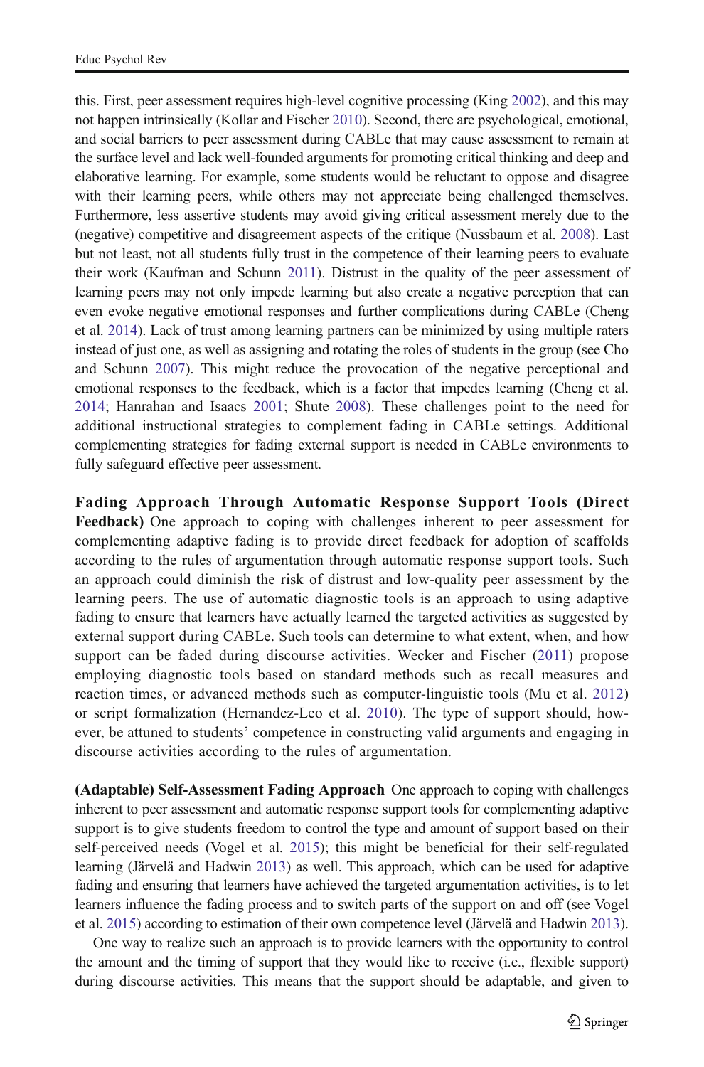this. First, peer assessment requires high-level cognitive processing (King [2002\)](#page-21-0), and this may not happen intrinsically (Kollar and Fischer [2010](#page-22-0)). Second, there are psychological, emotional, and social barriers to peer assessment during CABLe that may cause assessment to remain at the surface level and lack well-founded arguments for promoting critical thinking and deep and elaborative learning. For example, some students would be reluctant to oppose and disagree with their learning peers, while others may not appreciate being challenged themselves. Furthermore, less assertive students may avoid giving critical assessment merely due to the (negative) competitive and disagreement aspects of the critique (Nussbaum et al. [2008\)](#page-22-0). Last but not least, not all students fully trust in the competence of their learning peers to evaluate their work (Kaufman and Schunn [2011\)](#page-21-0). Distrust in the quality of the peer assessment of learning peers may not only impede learning but also create a negative perception that can even evoke negative emotional responses and further complications during CABLe (Cheng et al. [2014\)](#page-21-0). Lack of trust among learning partners can be minimized by using multiple raters instead of just one, as well as assigning and rotating the roles of students in the group (see Cho and Schunn [2007\)](#page-21-0). This might reduce the provocation of the negative perceptional and emotional responses to the feedback, which is a factor that impedes learning (Cheng et al. [2014;](#page-21-0) Hanrahan and Isaacs [2001](#page-21-0); Shute [2008\)](#page-23-0). These challenges point to the need for additional instructional strategies to complement fading in CABLe settings. Additional complementing strategies for fading external support is needed in CABLe environments to fully safeguard effective peer assessment.

Fading Approach Through Automatic Response Support Tools (Direct Feedback) One approach to coping with challenges inherent to peer assessment for complementing adaptive fading is to provide direct feedback for adoption of scaffolds according to the rules of argumentation through automatic response support tools. Such an approach could diminish the risk of distrust and low-quality peer assessment by the learning peers. The use of automatic diagnostic tools is an approach to using adaptive fading to ensure that learners have actually learned the targeted activities as suggested by external support during CABLe. Such tools can determine to what extent, when, and how support can be faded during discourse activities. Wecker and Fischer ([2011\)](#page-24-0) propose employing diagnostic tools based on standard methods such as recall measures and reaction times, or advanced methods such as computer-linguistic tools (Mu et al. [2012\)](#page-22-0) or script formalization (Hernandez-Leo et al. [2010](#page-21-0)). The type of support should, however, be attuned to students' competence in constructing valid arguments and engaging in discourse activities according to the rules of argumentation.

(Adaptable) Self-Assessment Fading Approach One approach to coping with challenges inherent to peer assessment and automatic response support tools for complementing adaptive support is to give students freedom to control the type and amount of support based on their self-perceived needs (Vogel et al. [2015\)](#page-24-0); this might be beneficial for their self-regulated learning (Järvelä and Hadwin [2013\)](#page-21-0) as well. This approach, which can be used for adaptive fading and ensuring that learners have achieved the targeted argumentation activities, is to let learners influence the fading process and to switch parts of the support on and off (see Vogel et al. [2015](#page-24-0)) according to estimation of their own competence level (Järvelä and Hadwin [2013](#page-21-0)).

One way to realize such an approach is to provide learners with the opportunity to control the amount and the timing of support that they would like to receive (i.e., flexible support) during discourse activities. This means that the support should be adaptable, and given to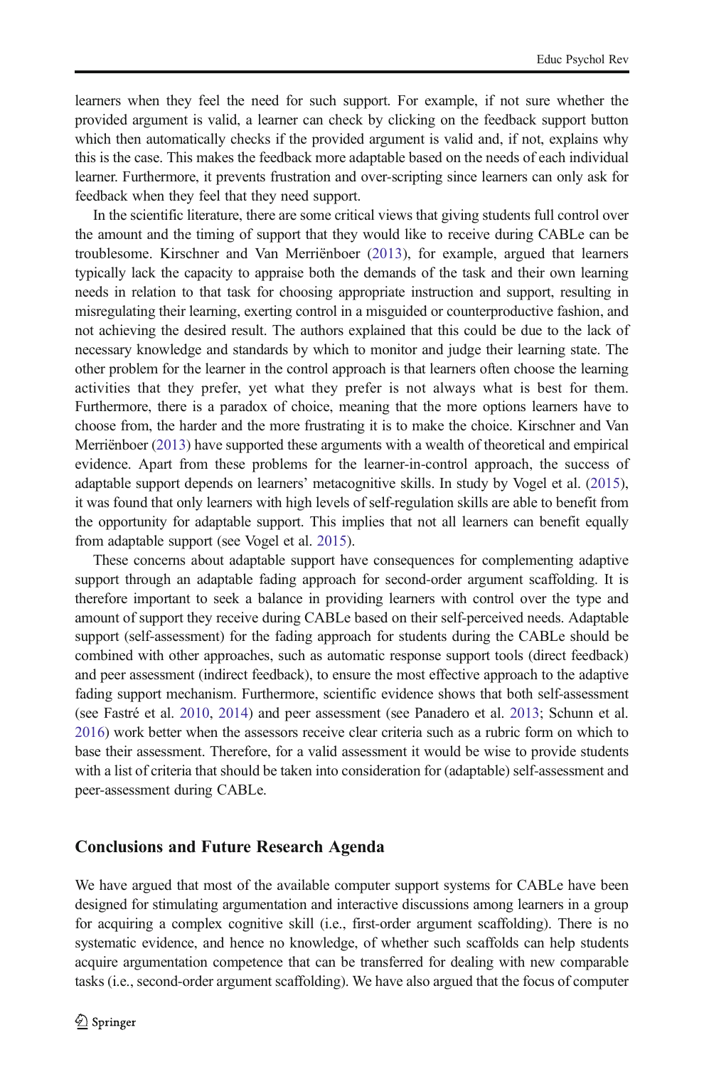learners when they feel the need for such support. For example, if not sure whether the provided argument is valid, a learner can check by clicking on the feedback support button which then automatically checks if the provided argument is valid and, if not, explains why this is the case. This makes the feedback more adaptable based on the needs of each individual learner. Furthermore, it prevents frustration and over-scripting since learners can only ask for feedback when they feel that they need support.

In the scientific literature, there are some critical views that giving students full control over the amount and the timing of support that they would like to receive during CABLe can be troublesome. Kirschner and Van Merriënboer [\(2013](#page-22-0)), for example, argued that learners typically lack the capacity to appraise both the demands of the task and their own learning needs in relation to that task for choosing appropriate instruction and support, resulting in misregulating their learning, exerting control in a misguided or counterproductive fashion, and not achieving the desired result. The authors explained that this could be due to the lack of necessary knowledge and standards by which to monitor and judge their learning state. The other problem for the learner in the control approach is that learners often choose the learning activities that they prefer, yet what they prefer is not always what is best for them. Furthermore, there is a paradox of choice, meaning that the more options learners have to choose from, the harder and the more frustrating it is to make the choice. Kirschner and Van Merriënboer ([2013](#page-22-0)) have supported these arguments with a wealth of theoretical and empirical evidence. Apart from these problems for the learner-in-control approach, the success of adaptable support depends on learners' metacognitive skills. In study by Vogel et al. ([2015](#page-24-0)), it was found that only learners with high levels of self-regulation skills are able to benefit from the opportunity for adaptable support. This implies that not all learners can benefit equally from adaptable support (see Vogel et al. [2015\)](#page-24-0).

These concerns about adaptable support have consequences for complementing adaptive support through an adaptable fading approach for second-order argument scaffolding. It is therefore important to seek a balance in providing learners with control over the type and amount of support they receive during CABLe based on their self-perceived needs. Adaptable support (self-assessment) for the fading approach for students during the CABLe should be combined with other approaches, such as automatic response support tools (direct feedback) and peer assessment (indirect feedback), to ensure the most effective approach to the adaptive fading support mechanism. Furthermore, scientific evidence shows that both self-assessment (see Fastré et al. [2010,](#page-21-0) [2014\)](#page-21-0) and peer assessment (see Panadero et al. [2013;](#page-22-0) Schunn et al. [2016](#page-23-0)) work better when the assessors receive clear criteria such as a rubric form on which to base their assessment. Therefore, for a valid assessment it would be wise to provide students with a list of criteria that should be taken into consideration for (adaptable) self-assessment and peer-assessment during CABLe.

#### Conclusions and Future Research Agenda

We have argued that most of the available computer support systems for CABLe have been designed for stimulating argumentation and interactive discussions among learners in a group for acquiring a complex cognitive skill (i.e., first-order argument scaffolding). There is no systematic evidence, and hence no knowledge, of whether such scaffolds can help students acquire argumentation competence that can be transferred for dealing with new comparable tasks (i.e., second-order argument scaffolding). We have also argued that the focus of computer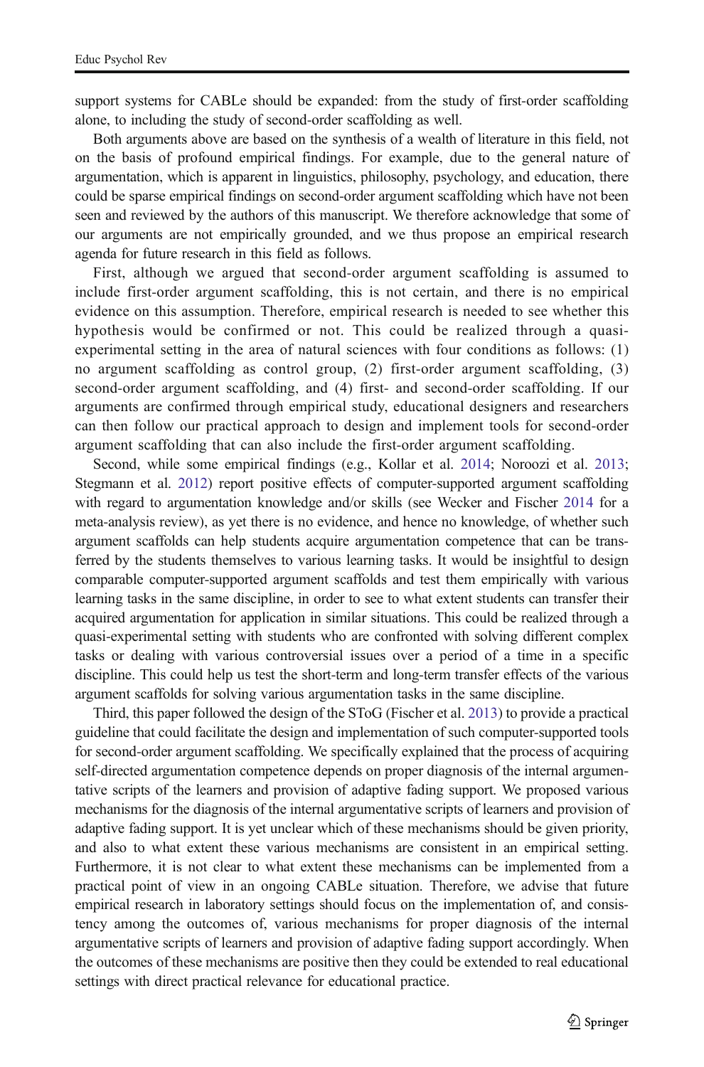support systems for CABLe should be expanded: from the study of first-order scaffolding alone, to including the study of second-order scaffolding as well.

Both arguments above are based on the synthesis of a wealth of literature in this field, not on the basis of profound empirical findings. For example, due to the general nature of argumentation, which is apparent in linguistics, philosophy, psychology, and education, there could be sparse empirical findings on second-order argument scaffolding which have not been seen and reviewed by the authors of this manuscript. We therefore acknowledge that some of our arguments are not empirically grounded, and we thus propose an empirical research agenda for future research in this field as follows.

First, although we argued that second-order argument scaffolding is assumed to include first-order argument scaffolding, this is not certain, and there is no empirical evidence on this assumption. Therefore, empirical research is needed to see whether this hypothesis would be confirmed or not. This could be realized through a quasiexperimental setting in the area of natural sciences with four conditions as follows: (1) no argument scaffolding as control group, (2) first-order argument scaffolding, (3) second-order argument scaffolding, and (4) first- and second-order scaffolding. If our arguments are confirmed through empirical study, educational designers and researchers can then follow our practical approach to design and implement tools for second-order argument scaffolding that can also include the first-order argument scaffolding.

Second, while some empirical findings (e.g., Kollar et al. [2014](#page-22-0); Noroozi et al. [2013](#page-22-0); Stegmann et al. [2012\)](#page-23-0) report positive effects of computer-supported argument scaffolding with regard to argumentation knowledge and/or skills (see Wecker and Fischer [2014](#page-24-0) for a meta-analysis review), as yet there is no evidence, and hence no knowledge, of whether such argument scaffolds can help students acquire argumentation competence that can be transferred by the students themselves to various learning tasks. It would be insightful to design comparable computer-supported argument scaffolds and test them empirically with various learning tasks in the same discipline, in order to see to what extent students can transfer their acquired argumentation for application in similar situations. This could be realized through a quasi-experimental setting with students who are confronted with solving different complex tasks or dealing with various controversial issues over a period of a time in a specific discipline. This could help us test the short-term and long-term transfer effects of the various argument scaffolds for solving various argumentation tasks in the same discipline.

Third, this paper followed the design of the SToG (Fischer et al. [2013\)](#page-21-0) to provide a practical guideline that could facilitate the design and implementation of such computer-supported tools for second-order argument scaffolding. We specifically explained that the process of acquiring self-directed argumentation competence depends on proper diagnosis of the internal argumentative scripts of the learners and provision of adaptive fading support. We proposed various mechanisms for the diagnosis of the internal argumentative scripts of learners and provision of adaptive fading support. It is yet unclear which of these mechanisms should be given priority, and also to what extent these various mechanisms are consistent in an empirical setting. Furthermore, it is not clear to what extent these mechanisms can be implemented from a practical point of view in an ongoing CABLe situation. Therefore, we advise that future empirical research in laboratory settings should focus on the implementation of, and consistency among the outcomes of, various mechanisms for proper diagnosis of the internal argumentative scripts of learners and provision of adaptive fading support accordingly. When the outcomes of these mechanisms are positive then they could be extended to real educational settings with direct practical relevance for educational practice.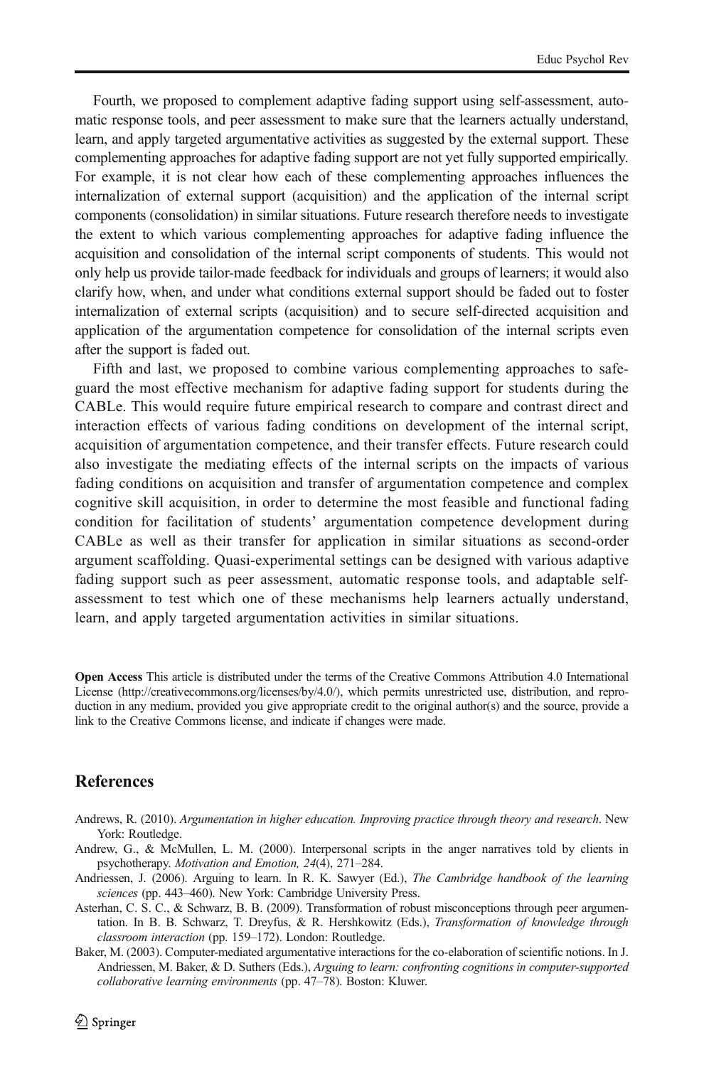<span id="page-20-0"></span>Fourth, we proposed to complement adaptive fading support using self-assessment, automatic response tools, and peer assessment to make sure that the learners actually understand, learn, and apply targeted argumentative activities as suggested by the external support. These complementing approaches for adaptive fading support are not yet fully supported empirically. For example, it is not clear how each of these complementing approaches influences the internalization of external support (acquisition) and the application of the internal script components (consolidation) in similar situations. Future research therefore needs to investigate the extent to which various complementing approaches for adaptive fading influence the acquisition and consolidation of the internal script components of students. This would not only help us provide tailor-made feedback for individuals and groups of learners; it would also clarify how, when, and under what conditions external support should be faded out to foster internalization of external scripts (acquisition) and to secure self-directed acquisition and application of the argumentation competence for consolidation of the internal scripts even after the support is faded out.

Fifth and last, we proposed to combine various complementing approaches to safeguard the most effective mechanism for adaptive fading support for students during the CABLe. This would require future empirical research to compare and contrast direct and interaction effects of various fading conditions on development of the internal script, acquisition of argumentation competence, and their transfer effects. Future research could also investigate the mediating effects of the internal scripts on the impacts of various fading conditions on acquisition and transfer of argumentation competence and complex cognitive skill acquisition, in order to determine the most feasible and functional fading condition for facilitation of students' argumentation competence development during CABLe as well as their transfer for application in similar situations as second-order argument scaffolding. Quasi-experimental settings can be designed with various adaptive fading support such as peer assessment, automatic response tools, and adaptable selfassessment to test which one of these mechanisms help learners actually understand, learn, and apply targeted argumentation activities in similar situations.

Open Access This article is distributed under the terms of the Creative Commons Attribution 4.0 International License (http://creativecommons.org/licenses/by/4.0/), which permits unrestricted use, distribution, and reproduction in any medium, provided you give appropriate credit to the original author(s) and the source, provide a link to the Creative Commons license, and indicate if changes were made.

#### References

- Andrews, R. (2010). Argumentation in higher education. Improving practice through theory and research. New York: Routledge.
- Andrew, G., & McMullen, L. M. (2000). Interpersonal scripts in the anger narratives told by clients in psychotherapy. Motivation and Emotion, 24(4), 271–284.
- Andriessen, J. (2006). Arguing to learn. In R. K. Sawyer (Ed.), The Cambridge handbook of the learning sciences (pp. 443–460). New York: Cambridge University Press.
- Asterhan, C. S. C., & Schwarz, B. B. (2009). Transformation of robust misconceptions through peer argumentation. In B. B. Schwarz, T. Dreyfus, & R. Hershkowitz (Eds.), Transformation of knowledge through classroom interaction (pp. 159–172). London: Routledge.
- Baker, M. (2003). Computer-mediated argumentative interactions for the co-elaboration of scientific notions. In J. Andriessen, M. Baker, & D. Suthers (Eds.), Arguing to learn: confronting cognitions in computer-supported collaborative learning environments (pp. 47–78). Boston: Kluwer.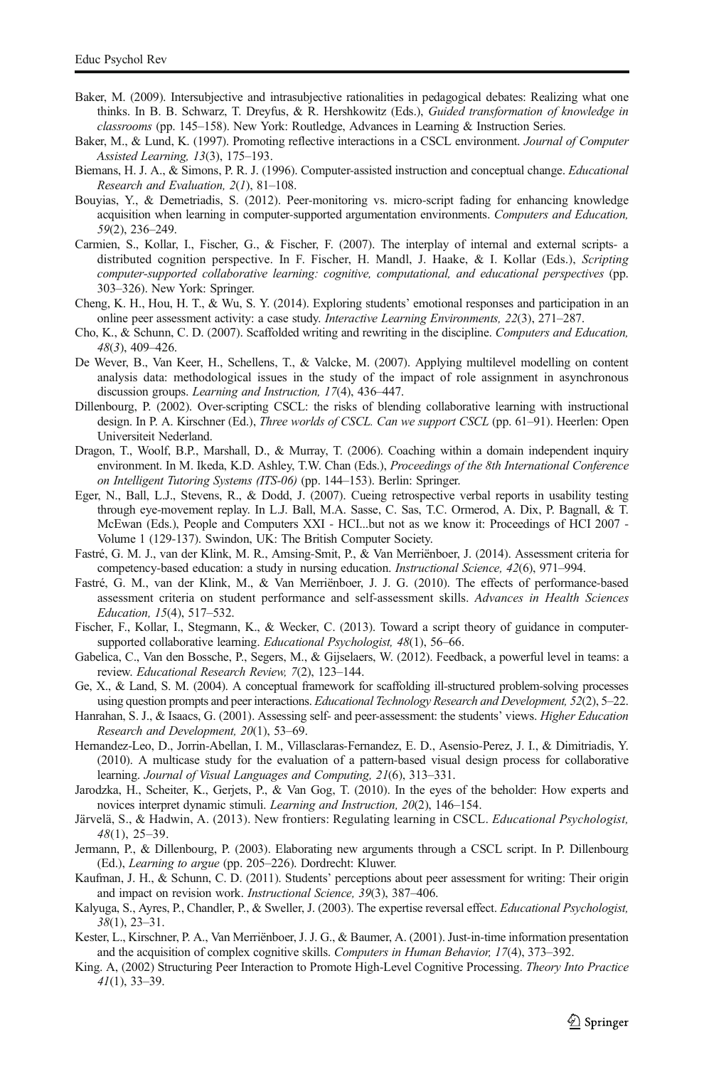- <span id="page-21-0"></span>Baker, M. (2009). Intersubjective and intrasubjective rationalities in pedagogical debates: Realizing what one thinks. In B. B. Schwarz, T. Dreyfus, & R. Hershkowitz (Eds.), Guided transformation of knowledge in classrooms (pp. 145–158). New York: Routledge, Advances in Learning & Instruction Series.
- Baker, M., & Lund, K. (1997). Promoting reflective interactions in a CSCL environment. Journal of Computer Assisted Learning, 13(3), 175–193.
- Biemans, H. J. A., & Simons, P. R. J. (1996). Computer-assisted instruction and conceptual change. Educational Research and Evaluation, 2(1), 81–108.
- Bouyias, Y., & Demetriadis, S. (2012). Peer-monitoring vs. micro-script fading for enhancing knowledge acquisition when learning in computer-supported argumentation environments. Computers and Education, 59(2), 236–249.
- Carmien, S., Kollar, I., Fischer, G., & Fischer, F. (2007). The interplay of internal and external scripts- a distributed cognition perspective. In F. Fischer, H. Mandl, J. Haake, & I. Kollar (Eds.), Scripting computer-supported collaborative learning: cognitive, computational, and educational perspectives (pp. 303–326). New York: Springer.
- Cheng, K. H., Hou, H. T., & Wu, S. Y. (2014). Exploring students' emotional responses and participation in an online peer assessment activity: a case study. Interactive Learning Environments, 22(3), 271–287.
- Cho, K., & Schunn, C. D. (2007). Scaffolded writing and rewriting in the discipline. Computers and Education, 48(3), 409–426.
- De Wever, B., Van Keer, H., Schellens, T., & Valcke, M. (2007). Applying multilevel modelling on content analysis data: methodological issues in the study of the impact of role assignment in asynchronous discussion groups. Learning and Instruction, 17(4), 436–447.
- Dillenbourg, P. (2002). Over-scripting CSCL: the risks of blending collaborative learning with instructional design. In P. A. Kirschner (Ed.), Three worlds of CSCL. Can we support CSCL (pp. 61–91). Heerlen: Open Universiteit Nederland.
- Dragon, T., Woolf, B.P., Marshall, D., & Murray, T. (2006). Coaching within a domain independent inquiry environment. In M. Ikeda, K.D. Ashley, T.W. Chan (Eds.), Proceedings of the 8th International Conference on Intelligent Tutoring Systems (ITS-06) (pp. 144–153). Berlin: Springer.
- Eger, N., Ball, L.J., Stevens, R., & Dodd, J. (2007). Cueing retrospective verbal reports in usability testing through eye-movement replay. In L.J. Ball, M.A. Sasse, C. Sas, T.C. Ormerod, A. Dix, P. Bagnall, & T. McEwan (Eds.), People and Computers XXI - HCI...but not as we know it: Proceedings of HCI 2007 - Volume 1 (129-137). Swindon, UK: The British Computer Society.
- Fastré, G. M. J., van der Klink, M. R., Amsing-Smit, P., & Van Merriënboer, J. (2014). Assessment criteria for competency-based education: a study in nursing education. Instructional Science, 42(6), 971–994.
- Fastré, G. M., van der Klink, M., & Van Merriënboer, J. J. G. (2010). The effects of performance-based assessment criteria on student performance and self-assessment skills. Advances in Health Sciences Education, 15(4), 517–532.
- Fischer, F., Kollar, I., Stegmann, K., & Wecker, C. (2013). Toward a script theory of guidance in computersupported collaborative learning. Educational Psychologist, 48(1), 56–66.
- Gabelica, C., Van den Bossche, P., Segers, M., & Gijselaers, W. (2012). Feedback, a powerful level in teams: a review. Educational Research Review, 7(2), 123–144.
- Ge, X., & Land, S. M. (2004). A conceptual framework for scaffolding ill-structured problem-solving processes using question prompts and peer interactions. Educational Technology Research and Development, 52(2), 5–22.
- Hanrahan, S. J., & Isaacs, G. (2001). Assessing self- and peer-assessment: the students' views. Higher Education Research and Development, 20(1), 53–69.
- Hernandez-Leo, D., Jorrin-Abellan, I. M., Villasclaras-Fernandez, E. D., Asensio-Perez, J. I., & Dimitriadis, Y. (2010). A multicase study for the evaluation of a pattern-based visual design process for collaborative learning. Journal of Visual Languages and Computing, 21(6), 313–331.
- Jarodzka, H., Scheiter, K., Gerjets, P., & Van Gog, T. (2010). In the eyes of the beholder: How experts and novices interpret dynamic stimuli. Learning and Instruction, 20(2), 146–154.
- Järvelä, S., & Hadwin, A. (2013). New frontiers: Regulating learning in CSCL. Educational Psychologist, 48(1), 25–39.
- Jermann, P., & Dillenbourg, P. (2003). Elaborating new arguments through a CSCL script. In P. Dillenbourg (Ed.), Learning to argue (pp. 205–226). Dordrecht: Kluwer.
- Kaufman, J. H., & Schunn, C. D. (2011). Students' perceptions about peer assessment for writing: Their origin and impact on revision work. Instructional Science, 39(3), 387–406.
- Kalyuga, S., Ayres, P., Chandler, P., & Sweller, J. (2003). The expertise reversal effect. Educational Psychologist, 38(1), 23–31.
- Kester, L., Kirschner, P. A., Van Merriënboer, J. J. G., & Baumer, A. (2001). Just-in-time information presentation and the acquisition of complex cognitive skills. Computers in Human Behavior, 17(4), 373–392.
- King. A, (2002) Structuring Peer Interaction to Promote High-Level Cognitive Processing. Theory Into Practice 41(1), 33–39.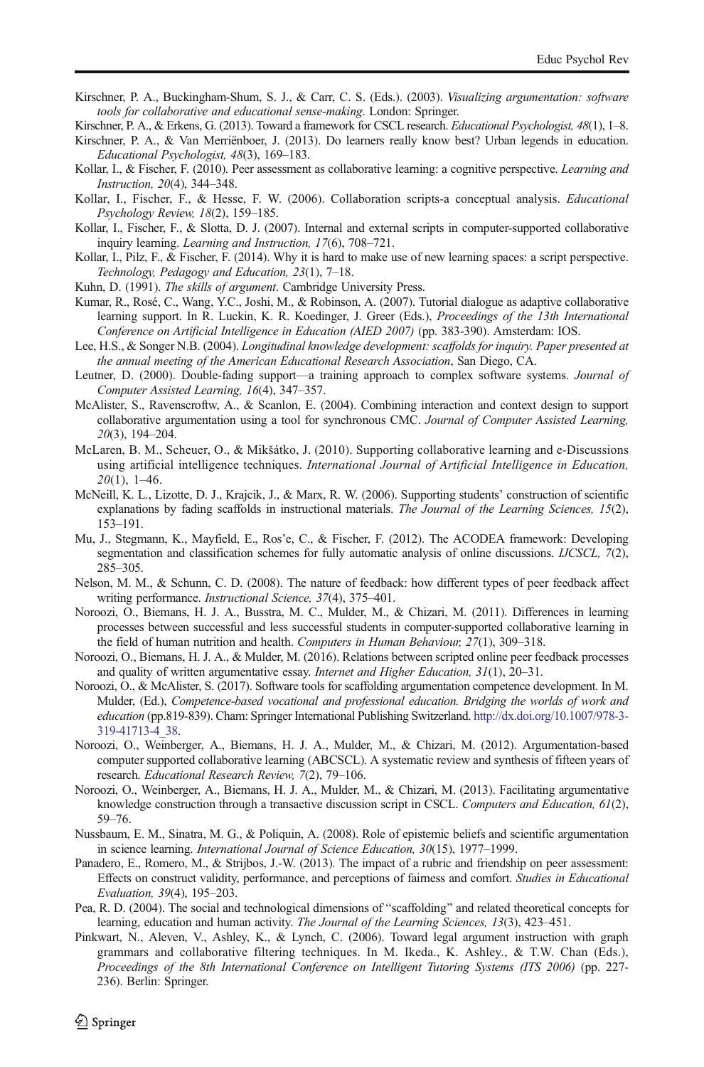- <span id="page-22-0"></span>Kirschner, P. A., Buckingham-Shum, S. J., & Carr, C. S. (Eds.). (2003). Visualizing argumentation: software tools for collaborative and educational sense-making. London: Springer.
- Kirschner, P. A., & Erkens, G. (2013). Toward a framework for CSCL research. Educational Psychologist, 48(1), 1–8.
- Kirschner, P. A., & Van Merriënboer, J. (2013). Do learners really know best? Urban legends in education. Educational Psychologist, 48(3), 169–183.
- Kollar, I., & Fischer, F. (2010). Peer assessment as collaborative learning: a cognitive perspective. *Learning and* Instruction, 20(4), 344–348.
- Kollar, I., Fischer, F., & Hesse, F. W. (2006). Collaboration scripts-a conceptual analysis. Educational Psychology Review, 18(2), 159–185.
- Kollar, I., Fischer, F., & Slotta, D. J. (2007). Internal and external scripts in computer-supported collaborative inquiry learning. Learning and Instruction, 17(6), 708–721.
- Kollar, I., Pilz, F., & Fischer, F. (2014). Why it is hard to make use of new learning spaces: a script perspective. Technology, Pedagogy and Education, 23(1), 7–18.
- Kuhn, D. (1991). The skills of argument. Cambridge University Press.
- Kumar, R., Rosé, C., Wang, Y.C., Joshi, M., & Robinson, A. (2007). Tutorial dialogue as adaptive collaborative learning support. In R. Luckin, K. R. Koedinger, J. Greer (Eds.), Proceedings of the 13th International Conference on Artificial Intelligence in Education (AIED 2007) (pp. 383-390). Amsterdam: IOS.
- Lee, H.S., & Songer N.B. (2004). Longitudinal knowledge development: scaffolds for inquiry. Paper presented at the annual meeting of the American Educational Research Association, San Diego, CA.
- Leutner, D. (2000). Double-fading support—a training approach to complex software systems. Journal of Computer Assisted Learning, 16(4), 347–357.
- McAlister, S., Ravenscroftw, A., & Scanlon, E. (2004). Combining interaction and context design to support collaborative argumentation using a tool for synchronous CMC. Journal of Computer Assisted Learning, 20(3), 194–204.
- McLaren, B. M., Scheuer, O., & Mikšátko, J. (2010). Supporting collaborative learning and e-Discussions using artificial intelligence techniques. International Journal of Artificial Intelligence in Education,  $20(1)$ , 1–46.
- McNeill, K. L., Lizotte, D. J., Krajcik, J., & Marx, R. W. (2006). Supporting students' construction of scientific explanations by fading scaffolds in instructional materials. The Journal of the Learning Sciences, 15(2), 153–191.
- Mu, J., Stegmann, K., Mayfield, E., Ros'e, C., & Fischer, F. (2012). The ACODEA framework: Developing segmentation and classification schemes for fully automatic analysis of online discussions. *IJCSCL*, 7(2), 285–305.
- Nelson, M. M., & Schunn, C. D. (2008). The nature of feedback: how different types of peer feedback affect writing performance. Instructional Science, 37(4), 375–401.
- Noroozi, O., Biemans, H. J. A., Busstra, M. C., Mulder, M., & Chizari, M. (2011). Differences in learning processes between successful and less successful students in computer-supported collaborative learning in the field of human nutrition and health. Computers in Human Behaviour, 27(1), 309–318.
- Noroozi, O., Biemans, H. J. A., & Mulder, M. (2016). Relations between scripted online peer feedback processes and quality of written argumentative essay. Internet and Higher Education, 31(1), 20–31.
- Noroozi, O., & McAlister, S. (2017). Software tools for scaffolding argumentation competence development. In M. Mulder, (Ed.), Competence-based vocational and professional education. Bridging the worlds of work and education (pp.819-839). Cham: Springer International Publishing Switzerland. [http://dx.doi.org/10.1007/978-3-](http://dx.doi.org/10.1007/978-3-319-41713-4) [319-41713-4\\_38](http://dx.doi.org/10.1007/978-3-319-41713-4).
- Noroozi, O., Weinberger, A., Biemans, H. J. A., Mulder, M., & Chizari, M. (2012). Argumentation-based computer supported collaborative learning (ABCSCL). A systematic review and synthesis of fifteen years of research. Educational Research Review, 7(2), 79–106.
- Noroozi, O., Weinberger, A., Biemans, H. J. A., Mulder, M., & Chizari, M. (2013). Facilitating argumentative knowledge construction through a transactive discussion script in CSCL. Computers and Education, 61(2), 59–76.
- Nussbaum, E. M., Sinatra, M. G., & Poliquin, A. (2008). Role of epistemic beliefs and scientific argumentation in science learning. International Journal of Science Education, 30(15), 1977–1999.
- Panadero, E., Romero, M., & Strijbos, J.-W. (2013). The impact of a rubric and friendship on peer assessment: Effects on construct validity, performance, and perceptions of fairness and comfort. Studies in Educational Evaluation, 39(4), 195–203.
- Pea, R. D. (2004). The social and technological dimensions of "scaffolding" and related theoretical concepts for learning, education and human activity. The Journal of the Learning Sciences, 13(3), 423–451.
- Pinkwart, N., Aleven, V., Ashley, K., & Lynch, C. (2006). Toward legal argument instruction with graph grammars and collaborative filtering techniques. In M. Ikeda., K. Ashley., & T.W. Chan (Eds.), Proceedings of the 8th International Conference on Intelligent Tutoring Systems (ITS 2006) (pp. 227- 236). Berlin: Springer.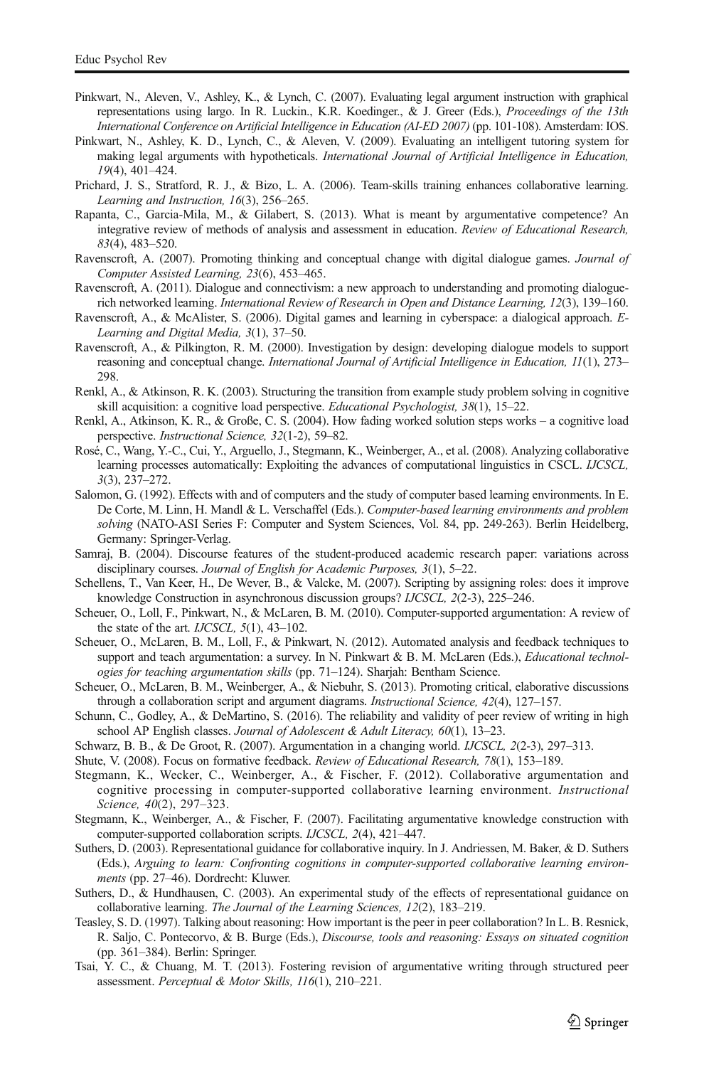- <span id="page-23-0"></span>Pinkwart, N., Aleven, V., Ashley, K., & Lynch, C. (2007). Evaluating legal argument instruction with graphical representations using largo. In R. Luckin., K.R. Koedinger., & J. Greer (Eds.), Proceedings of the 13th International Conference on Artificial Intelligence in Education (AI-ED 2007) (pp. 101-108). Amsterdam: IOS.
- Pinkwart, N., Ashley, K. D., Lynch, C., & Aleven, V. (2009). Evaluating an intelligent tutoring system for making legal arguments with hypotheticals. International Journal of Artificial Intelligence in Education, 19(4), 401–424.
- Prichard, J. S., Stratford, R. J., & Bizo, L. A. (2006). Team-skills training enhances collaborative learning. Learning and Instruction, 16(3), 256–265.
- Rapanta, C., Garcia-Mila, M., & Gilabert, S. (2013). What is meant by argumentative competence? An integrative review of methods of analysis and assessment in education. Review of Educational Research, 83(4), 483–520.
- Ravenscroft, A. (2007). Promoting thinking and conceptual change with digital dialogue games. Journal of Computer Assisted Learning, 23(6), 453–465.
- Ravenscroft, A. (2011). Dialogue and connectivism: a new approach to understanding and promoting dialoguerich networked learning. International Review of Research in Open and Distance Learning, 12(3), 139–160.
- Ravenscroft, A., & McAlister, S. (2006). Digital games and learning in cyberspace: a dialogical approach. E-Learning and Digital Media, 3(1), 37–50.
- Ravenscroft, A., & Pilkington, R. M. (2000). Investigation by design: developing dialogue models to support reasoning and conceptual change. International Journal of Artificial Intelligence in Education, 11(1), 273– 298.
- Renkl, A., & Atkinson, R. K. (2003). Structuring the transition from example study problem solving in cognitive skill acquisition: a cognitive load perspective. *Educational Psychologist*, 38(1), 15–22.
- Renkl, A., Atkinson, K. R., & Große, C. S. (2004). How fading worked solution steps works a cognitive load perspective. Instructional Science, 32(1-2), 59–82.
- Rosé, C., Wang, Y.-C., Cui, Y., Arguello, J., Stegmann, K., Weinberger, A., et al. (2008). Analyzing collaborative learning processes automatically: Exploiting the advances of computational linguistics in CSCL. IJCSCL, 3(3), 237–272.
- Salomon, G. (1992). Effects with and of computers and the study of computer based learning environments. In E. De Corte, M. Linn, H. Mandl & L. Verschaffel (Eds.). Computer-based learning environments and problem solving (NATO-ASI Series F: Computer and System Sciences, Vol. 84, pp. 249-263). Berlin Heidelberg, Germany: Springer-Verlag.
- Samraj, B. (2004). Discourse features of the student-produced academic research paper: variations across disciplinary courses. Journal of English for Academic Purposes, 3(1), 5–22.
- Schellens, T., Van Keer, H., De Wever, B., & Valcke, M. (2007). Scripting by assigning roles: does it improve knowledge Construction in asynchronous discussion groups? IJCSCL, 2(2-3), 225–246.
- Scheuer, O., Loll, F., Pinkwart, N., & McLaren, B. M. (2010). Computer-supported argumentation: A review of the state of the art. *IJCSCL*, 5(1), 43–102.
- Scheuer, O., McLaren, B. M., Loll, F., & Pinkwart, N. (2012). Automated analysis and feedback techniques to support and teach argumentation: a survey. In N. Pinkwart & B. M. McLaren (Eds.), *Educational technol*ogies for teaching argumentation skills (pp. 71–124). Sharjah: Bentham Science.
- Scheuer, O., McLaren, B. M., Weinberger, A., & Niebuhr, S. (2013). Promoting critical, elaborative discussions through a collaboration script and argument diagrams. Instructional Science, 42(4), 127-157.
- Schunn, C., Godley, A., & DeMartino, S. (2016). The reliability and validity of peer review of writing in high school AP English classes. Journal of Adolescent & Adult Literacy,  $60(1)$ , 13–23.
- Schwarz, B. B., & De Groot, R. (2007). Argumentation in a changing world. IJCSCL, 2(2-3), 297–313.
- Shute, V. (2008). Focus on formative feedback. Review of Educational Research, 78(1), 153–189.
- Stegmann, K., Wecker, C., Weinberger, A., & Fischer, F. (2012). Collaborative argumentation and cognitive processing in computer-supported collaborative learning environment. Instructional Science, 40(2), 297–323.
- Stegmann, K., Weinberger, A., & Fischer, F. (2007). Facilitating argumentative knowledge construction with computer-supported collaboration scripts. IJCSCL, 2(4), 421–447.
- Suthers, D. (2003). Representational guidance for collaborative inquiry. In J. Andriessen, M. Baker, & D. Suthers (Eds.), Arguing to learn: Confronting cognitions in computer-supported collaborative learning environments (pp. 27–46). Dordrecht: Kluwer.
- Suthers, D., & Hundhausen, C. (2003). An experimental study of the effects of representational guidance on collaborative learning. The Journal of the Learning Sciences, 12(2), 183–219.
- Teasley, S. D. (1997). Talking about reasoning: How important is the peer in peer collaboration? In L. B. Resnick, R. Saljo, C. Pontecorvo, & B. Burge (Eds.), Discourse, tools and reasoning: Essays on situated cognition (pp. 361–384). Berlin: Springer.
- Tsai, Y. C., & Chuang, M. T. (2013). Fostering revision of argumentative writing through structured peer assessment. Perceptual & Motor Skills, 116(1), 210–221.